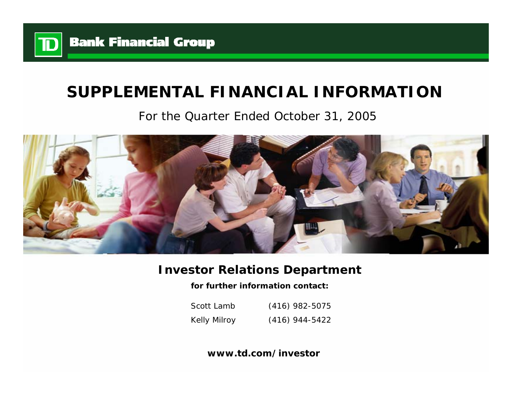

# **SUPPLEMENTAL FINANCIAL INFORMATION**

# For the Quarter Ended October 31, 2005



## **Investor Relations Department**

**for further information contact:**

Scott LambKelly Milroy (416) 982-5075 (416) 944-5422

**www.td.com/investor**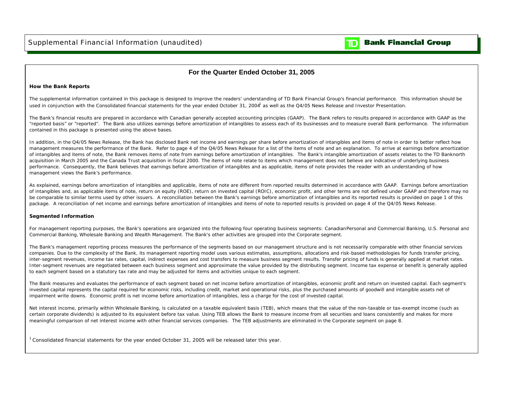

### **For the Quarter Ended October 31, 2005**

#### **How the Bank Reports**

The supplemental information contained in this package is designed to improve the readers' understanding of TD Bank Financial Group's financial performance. This information should be used in conjunction with the Consolidated financial statements for the year ended October 31, 2004<sup>1</sup> as well as the Q4/05 News Release and Investor Presentation.

The Bank's financial results are prepared in accordance with Canadian generally accepted accounting principles (GAAP). The Bank refers to results prepared in accordance with GAAP as the "reported basis" or "reported". The Bank also utilizes earnings before amortization of intangibles to assess each of its businesses and to measure overall Bank performance. The information contained in this package is presented using the above bases.

In addition, in the Q4/05 News Release, the Bank has disclosed Bank net income and earnings per share before amortization of intangibles and items of note in order to better reflect how management measures the performance of the Bank. Refer to page 4 of the Q4/05 News Release for a list of the items of note and an explanation. To arrive at earnings before amortization of intangibles and items of note, the Bank removes items of note from earnings before amortization of intangibles. The Bank's intangible amortization of assets relates to the TD Banknorth acquisition in March 2005 and the Canada Trust acquisition in fiscal 2000. The items of note relate to items which management does not believe are indicative of underlying business performance. Consequently, the Bank believes that earnings before amortization of intangibles and as applicable, items of note provides the reader with an understanding of how management views the Bank's performance.

As explained, earnings before amortization of intangibles and applicable, items of note are different from reported results determined in accordance with GAAP. Earnings before amortization of intangibles and, as applicable items of note, return on equity (ROE), return on invested capital (ROIC), economic profit, and other terms are not defined under GAAP and therefore may noticle be comparable to similar terms used by other issuers. A reconciliation between the Bank's earnings before amortization of intangibles and its reported results is provided on page 1 of this package. A reconciliation of net income and earnings before amortization of intangibles and items of note to reported results is provided on page 4 of the Q4/05 News Release.

#### **Segmented Information**

For management reporting purposes, the Bank's operations are organized into the following four operating business segments: Canadian Personal and Commercial Banking, U.S. Personal and Commercial Banking, Wholesale Banking and Wealth Management. The Bank's other activities are grouped into the Corporate segment.

The Bank's management reporting process measures the performance of the segments based on our management structure and is not necessarily comparable with other financial services companies. Due to the complexity of the Bank, its management reporting model uses various estimates, assumptions, allocations and risk-based methodologies for funds transfer pricing, inter-segment revenues, income tax rates, capital, indirect expenses and cost transfers to measure business segment results. Transfer pricing of funds is generally applied at market rates. Inter-segment revenues are negotiated between each business segment and approximate the value provided by the distributing segment. Income tax expense or benefit is generally applied to each segment based on a statutory tax rate and may be adjusted for items and activities unique to each segment.

The Bank measures and evaluates the performance of each segment based on net income before amortization of intangibles, economic profit and return on invested capital. Each segment's invested capital represents the capital required for economic risks, including credit, market and operational risks, plus the purchased amounts of goodwill and intangible assets net of impairment write downs. Economic profit is net income before amortization of intangibles, less a charge for the cost of invested capital.

Net interest income, primarily within Wholesale Banking, is calculated on a taxable equivalent basis (TEB), which means that the value of the non-taxable or tax-exempt income (such as certain corporate dividends) is adjusted to its equivalent before tax value. Using TEB allows the Bank to measure income from all securities and loans consistently and makes for more meaningful comparison of net interest income with other financial services companies. The TEB adjustments are eliminated in the Corporate segment on page 8.

 $1$  Consolidated financial statements for the year ended October 31, 2005 will be released later this year.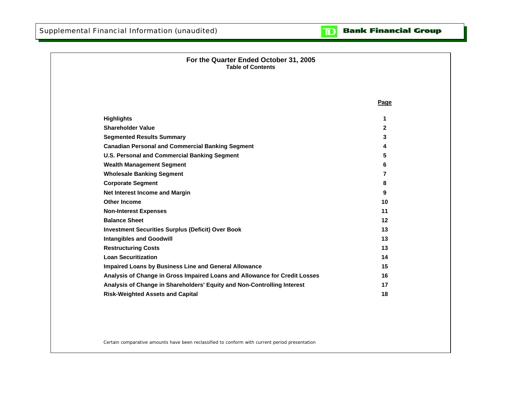#### **Bank Financial Group**  $\mathbf{D}$

| For the Quarter Ended October 31, 2005<br><b>Table of Contents</b>         |              |
|----------------------------------------------------------------------------|--------------|
|                                                                            |              |
|                                                                            | Page         |
| <b>Highlights</b>                                                          | 1            |
| <b>Shareholder Value</b>                                                   | $\mathbf{2}$ |
| <b>Segmented Results Summary</b>                                           | 3            |
| <b>Canadian Personal and Commercial Banking Segment</b>                    | 4            |
| <b>U.S. Personal and Commercial Banking Segment</b>                        | 5            |
| <b>Wealth Management Segment</b>                                           | 6            |
| <b>Wholesale Banking Segment</b>                                           | 7            |
| <b>Corporate Segment</b>                                                   | 8            |
| Net Interest Income and Margin                                             | 9            |
| <b>Other Income</b>                                                        | 10           |
| <b>Non-Interest Expenses</b>                                               | 11           |
| <b>Balance Sheet</b>                                                       | $12 \,$      |
| <b>Investment Securities Surplus (Deficit) Over Book</b>                   | 13           |
| <b>Intangibles and Goodwill</b>                                            | 13           |
| <b>Restructuring Costs</b>                                                 | 13           |
| <b>Loan Securitization</b>                                                 | 14           |
| Impaired Loans by Business Line and General Allowance                      | 15           |
| Analysis of Change in Gross Impaired Loans and Allowance for Credit Losses | 16           |
| Analysis of Change in Shareholders' Equity and Non-Controlling Interest    | 17           |
| <b>Risk-Weighted Assets and Capital</b>                                    | 18           |

Certain comparative amounts have been reclassified to conform with current period presentation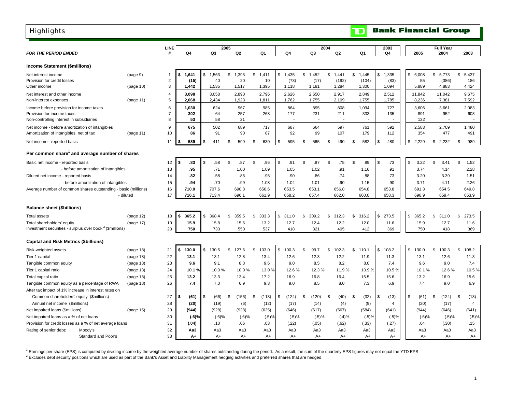## <span id="page-3-0"></span>**Highlights**

| <b>FOR THE PERIOD ENDED</b>                                         |                                      |           | LINE<br>#      | Q4          | Q3          | 2005<br>Q2  | Q1          | Q4          | Q <sub>3</sub> | 2004<br>Q <sub>2</sub> | Q1          | 2003<br>Q4            | 2005                             | <b>Full Year</b><br>2004 | 2003        |
|---------------------------------------------------------------------|--------------------------------------|-----------|----------------|-------------|-------------|-------------|-------------|-------------|----------------|------------------------|-------------|-----------------------|----------------------------------|--------------------------|-------------|
|                                                                     |                                      |           |                |             |             |             |             |             |                |                        |             |                       |                                  |                          |             |
| Income Statement (\$millions)                                       |                                      |           |                |             |             |             |             |             |                |                        |             |                       |                                  |                          |             |
| Net interest income                                                 |                                      | (page 9)  | -1             | 1,641       | \$<br>1,563 | \$<br>1,393 | \$<br>1,411 | \$<br>1,435 | \$<br>1,452    | \$<br>1,441            | \$<br>1.445 | $\mathbb{S}$<br>1,335 | $$\tilde{\phantom{a}}$$<br>6,008 | \$<br>5,773              | \$<br>5,437 |
| Provision for credit losses                                         |                                      |           | $\overline{2}$ | (15)        | 40          | 20          | 10          | (73)        | (17)           | (192)                  | (104)       | (83)                  | 55                               | (386)                    | 186         |
| Other income                                                        |                                      | (page 10) | 3              | 1,442       | 1,535       | 1,517       | 1,395       | 1,118       | 1,181          | 1,284                  | 1,300       | 1,094                 | 5,889                            | 4,883                    | 4,424       |
| Net interest and other income                                       |                                      |           | $\overline{4}$ | 3,098       | 3,058       | 2,890       | 2,796       | 2,626       | 2,650          | 2,917                  | 2,849       | 2,512                 | 11,842                           | 11,042                   | 9,675       |
| Non-interest expenses                                               |                                      | (page 11) | 5              | 2,068       | 2,434       | 1,923       | 1,811       | 1,762       | 1,755          | 2,109                  | 1,755       | 1,785                 | 8,236                            | 7,381                    | 7,592       |
| Income before provision for income taxes                            |                                      |           | 6              | 1,030       | 624         | 967         | 985         | 864         | 895            | 808                    | 1,094       | 727                   | 3,606                            | 3,661                    | 2,083       |
| Provision for income taxes                                          |                                      |           | $\overline{7}$ | 302         | 64          | 257         | 268         | 177         | 231            | 211                    | 333         | 135                   | 891                              | 952                      | 603         |
| Non-controlling interest in subsidiaries                            |                                      |           | 8              | 53          | 58          | 21          |             |             |                |                        |             |                       | 132                              | $\sim$                   |             |
| Net income - before amortization of intangibles                     |                                      |           | 9              | 675         | 502         | 689         | 717         | 687         | 664            | 597                    | 761         | 592                   | 2,583                            | 2,709                    | 1,480       |
| Amortization of intangibles, net of tax                             |                                      | (page 11) | 10             | 86          | 91          | 90          | 87          | 92          | 99             | 107                    | 179         | 112                   | 354                              | 477                      | 491         |
| Net income - reported basis                                         |                                      |           | 11             | 589         | \$<br>411   | \$<br>599   | 630<br>\$   | \$<br>595   | \$<br>565      | \$<br>490              | 582<br>\$   | \$<br>480             | \$<br>2,229                      | \$<br>2,232              | \$<br>989   |
| Per common share <sup>1</sup> and average number of shares          |                                      |           |                |             |             |             |             |             |                |                        |             |                       |                                  |                          |             |
| Basic net income - reported basis                                   |                                      |           | 12             | .83<br>\$   | .58<br>\$   | \$<br>.87   | \$<br>.96   | S.<br>.91   | \$<br>.87      | \$<br>.75              | \$<br>.89   | \$<br>.73             | \$<br>3.22                       | \$<br>3.41               | \$<br>1.52  |
|                                                                     | - before amortization of intangibles |           | 13             | .95         | .71         | 1.00        | 1.09        | 1.05        | 1.02           | .91                    | 1.16        | .91                   | 3.74                             | 4.14                     | 2.28        |
| Diluted net income - reported basis                                 |                                      |           | 14             | .82         | .58         | .86         | .95         | .90         | .86            | .74                    | .88         | .73                   | 3.20                             | 3.39                     | 1.51        |
|                                                                     | - before amortization of intangibles |           | 15             | .94         | .70         | .99         | 1.08        | 1.04        | 1.01           | .90                    | 1.15        | .90                   | 3.71                             | 4.11                     | 2.26        |
| Average number of common shares outstanding - basic (millions)      |                                      |           | 16             | 710.0       | 707.6       | 690.8       | 656.6       | 653.5       | 653.1          | 656.8                  | 654.8       | 653.8                 | 691.3                            | 654.5                    | 649.8       |
|                                                                     | - diluted                            |           | 17             | 716.1       | 713.4       | 696.1       | 661.9       | 658.2       | 657.4          | 662.0                  | 660.0       | 658.3                 | 696.9                            | 659.4                    | 653.9       |
|                                                                     |                                      |           |                |             |             |             |             |             |                |                        |             |                       |                                  |                          |             |
| <b>Balance sheet (\$billions)</b>                                   |                                      |           |                |             |             |             |             |             |                |                        |             |                       |                                  |                          |             |
| <b>Total assets</b>                                                 |                                      | (page 12) | 18             | 365.2<br>\$ | \$<br>368.4 | \$<br>359.5 | \$<br>333.3 | 311.0<br>\$ | 309.2<br>\$.   | \$<br>312.3            | \$<br>316.2 | \$<br>273.5           | \$<br>365.2                      | \$<br>311.0              | \$<br>273.5 |
| Total shareholders' equity                                          |                                      | (page 17) | 19             | 15.9        | 15.8        | 15.6        | 13.2        | 12.7        | 12.4           | 12.2                   | 12.0        | 11.6                  | 15.9                             | 12.7                     | 11.6        |
| Investment securities - surplus over book <sup>2</sup> (\$millions) |                                      |           | 20             | 750         | 733         | 550         | 537         | 418         | 321            | 405                    | 412         | 369                   | 750                              | 418                      | 369         |
| <b>Capital and Risk Metrics (\$billions)</b>                        |                                      |           |                |             |             |             |             |             |                |                        |             |                       |                                  |                          |             |
| Risk-weighted assets                                                |                                      | (page 18) | 21             | 130.0       | \$<br>130.5 | \$<br>127.6 | \$<br>103.0 | \$<br>100.3 | \$<br>99.7     | \$102.3                | \$110.1     | $\mathbb{S}$<br>108.2 | \$<br>130.0                      | \$<br>100.3              | \$<br>108.2 |
| Tier 1 capital                                                      |                                      | (page 18) | 22             | 13.1        | 13.1        | 12.8        | 13.4        | 12.6        | 12.3           | 12.2                   | 11.9        | 11.3                  | 13.1                             | 12.6                     | 11.3        |
| Tangible common equity                                              |                                      | (page 18) | 23             | 9.6         | 9.1         | 8.8         | 9.6         | 9.0         | 8.5            | 8.2                    | 8.0         | 7.4                   | 9.6                              | 9.0                      | 7.4         |
| Tier 1 capital ratio                                                |                                      | (page 18) | 24             | 10.1%       | 10.0%       | 10.0%       | 13.0%       | 12.6%       | 12.3%          | 11.9%                  | 10.9%       | 10.5%                 | 10.1%                            | 12.6%                    | 10.5%       |
| Total capital ratio                                                 |                                      | (page 18) | 25             | 13.2        | 13.3        | 13.4        | 17.2        | 16.9        | 16.8           | 16.4                   | 15.5        | 15.6                  | 13.2                             | 16.9                     | 15.6        |
| Tangible common equity as a percentage of RWA                       |                                      | (page 18) | 26             | 7.4         | 7.0         | 6.9         | 9.3         | 9.0         | 8.5            | 8.0                    | 7.3         | 6.9                   | 7.4                              | 9.0                      | 6.9         |
| After tax impact of 1% increase in interest rates on                |                                      |           |                |             |             |             |             |             |                |                        |             |                       |                                  |                          |             |
| Common shareholders' equity (\$millions)                            |                                      |           | 27             | \$<br>(61)  | \$<br>(66)  | \$<br>(156) | \$<br>(113) | (124)<br>\$ | (120)<br>\$.   | \$<br>(40)             | \$<br>(32)  | \$<br>(13)            | \$<br>(61)                       | \$<br>(124)              | \$<br>(13)  |
| Annual net income (\$millions)                                      |                                      |           | 28             | (20)        | (19)        | (6)         | (12)        | (17)        | (14)           | (4)                    | (9)         | 4                     | (20)                             | (17)                     | 4           |
| Net impaired loans (\$millions)                                     |                                      | (page 15) | 29             | (944)       | (928)       | (928)       | (625)       | (646)       | (617)          | (567)                  | (584)       | (641)                 | (944)                            | (646)                    | (641)       |
| Net impaired loans as a % of net loans                              |                                      |           | 30             | (.6)%       | (.6)%       | $(.6)$ %    | (.5)%       | (.5)%       | (.5)%          | (.4)%                  | (.5)%       | (.5)%                 | $(.6)$ %                         | (.5)%                    | (.5)%       |
| Provision for credit losses as a % of net average loans             |                                      |           | 31             | (.04)       | .10         | .06         | .03         | (.22)       | (.05)          | (.62)                  | (.33)       | (.27)                 | .04                              | (.30)                    | .15         |
| Rating of senior debt:                                              | Moody's                              |           | 32             | Aa3         | Aa3         | Aa3         | Aa3         | Aa3         | Aa3            | Aa3                    | Aa3         | Aa3                   | Aa3                              | Aa3                      | Aa3         |
|                                                                     | Standard and Poor's                  |           | 33             | A+          | $A+$        | $A+$        | $A+$        | $A+$        | $A+$           | A+                     | $A+$        | A+                    | A+                               | $A+$                     | $A+$        |

1 Earnings per share (EPS) is computed by dividing income by the weighted average number of shares outstanding during the period. As a result, the sum of the quarterly EPS figures may not equal the YTD EPS

<sup>2</sup> Excludes debt security positions which are used as part of the Bank's Asset and Liability Management hedging activities and preferred shares that are hedged

**Bank Financial Group** 

 $\blacksquare$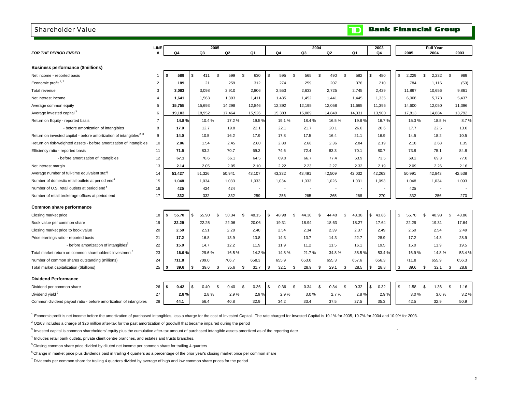#### <span id="page-4-0"></span>Shareholder Value

|  |  | <b>TD</b> Bank Financial Group |  |  |
|--|--|--------------------------------|--|--|
|--|--|--------------------------------|--|--|

|                                                                                 | <b>LINE</b>    |               | 2005        |                |        |               |                          |             | 2004                     |          |                          |        | 2003        |      |             |    | <b>Full Year</b>         |             |
|---------------------------------------------------------------------------------|----------------|---------------|-------------|----------------|--------|---------------|--------------------------|-------------|--------------------------|----------|--------------------------|--------|-------------|------|-------------|----|--------------------------|-------------|
| <b>FOR THE PERIOD ENDED</b>                                                     |                | Q4            | Q3          |                | Q2     |               | Q1                       | Q4          | Q3                       |          | Q2                       | Q1     | Q4          |      | 2005        |    | 2004                     | 2003        |
|                                                                                 |                |               |             |                |        |               |                          |             |                          |          |                          |        |             |      |             |    |                          |             |
| <b>Business performance (\$millions)</b>                                        |                |               |             |                |        |               |                          |             |                          |          |                          |        |             |      |             |    |                          |             |
| Net income - reported basis                                                     | 1              | 589<br>\$     | \$<br>411   | $$\mathbb{S}$$ | 599    | $\mathfrak s$ | 630                      | \$<br>595   | \$<br>565                | \$       | 490<br>\$                | 582    | \$<br>480   |      | \$<br>2,229 | \$ | 2,232                    | \$<br>989   |
| Economic profit $1, 2$                                                          | $\overline{2}$ | 189           | 21          |                | 259    |               | 312                      | 274         | 259                      |          | 207                      | 376    | 210         |      | 784         |    | 1,116                    | (50)        |
| Total revenue                                                                   | 3              | 3,083         | 3,098       |                | 2,910  |               | 2,806                    | 2,553       | 2,633                    |          | 2,725                    | 2,745  | 2,429       |      | 11,897      |    | 10,656                   | 9,861       |
| Net interest income                                                             | 4              | 1,641         | 1,563       |                | 1,393  |               | 1,411                    | 1,435       | 1,452                    |          | 1,441                    | 1,445  | 1,335       |      | 6,008       |    | 5,773                    | 5,437       |
| Average common equity                                                           | 5              | 15,755        | 15,693      |                | 14,298 |               | 12,846                   | 12,392      | 12,195                   |          | 12,058                   | 11,665 | 11,396      |      | 14,600      |    | 12,050                   | 11,396      |
| Average invested capital <sup>3</sup>                                           | 6              | 19,103        | 18,952      |                | 17,464 |               | 15,926                   | 15,383      | 15,089                   |          | 14,849                   | 14,331 | 13,900      |      | 17,813      |    | 14,884                   | 13,792      |
| Return on Equity - reported basis                                               | $\overline{7}$ | 14.8%         | 10.4%       |                | 17.2%  |               | 19.5%                    | 19.1%       | 18.4%                    |          | 16.5%                    | 19.8%  | 16.7%       |      | 15.3%       |    | 18.5%                    | 8.7%        |
| - before amortization of intangibles                                            | 8              | 17.0          | 12.7        |                | 19.8   |               | 22.1                     | 22.1        | 21.7                     |          | 20.1                     | 26.0   | 20.6        |      | 17.7        |    | 22.5                     | 13.0        |
| Return on invested capital - before amortization of intangibles <sup>2, 3</sup> | 9              | 14.0          | 10.5        |                | 16.2   |               | 17.9                     | 17.8        | 17.5                     |          | 16.4                     | 21.1   | 16.9        |      | 14.5        |    | 18.2                     | 10.5        |
| Return on risk-weighted assets - before amortization of intangibles             | 10             | 2.06          | 1.54        |                | 2.45   |               | 2.80                     | 2.80        | 2.68                     |          | 2.36                     | 2.84   | 2.19        |      | 2.18        |    | 2.68                     | 1.35        |
| Efficiency ratio - reported basis                                               | 11             | 71.5          | 83.2        |                | 70.7   |               | 69.3                     | 74.6        | 72.4                     |          | 83.3                     | 70.1   | 80.7        |      | 73.8        |    | 75.1                     | 84.8        |
| - before amortization of intangibles                                            | 12             | 67.1          | 78.6        |                | 66.1   |               | 64.5                     | 69.0        | 66.7                     |          | 77.4                     | 63.9   | 73.5        |      | 69.2        |    | 69.3                     | 77.0        |
| Net interest margin                                                             | 13             | 2.14          | 2.05        |                | 2.05   |               | 2.10                     | 2.22        | 2.23                     |          | 2.27                     | 2.32   | 2.19        |      | 2.09        |    | 2.26                     | 2.16        |
| Average number of full-time equivalent staff                                    | 14             | 51,427        | 51,326      |                | 50,941 |               | 43,107                   | 43,332      | 43,491                   |          | 42,509                   | 42,032 | 42,263      |      | 50,991      |    | 42,843                   | 42,538      |
| Number of domestic retail outlets at period end <sup>4</sup>                    | 15             | 1,048         | 1,034       |                | 1,033  |               | 1,033                    | 1,034       | 1,033                    |          | 1,026                    | 1,031  | 1,093       |      | 1,048       |    | 1,034                    | 1,093       |
| Number of U.S. retail outlets at period end <sup>4</sup>                        | 16             | 425           | 424         |                | 424    |               | $\overline{\phantom{a}}$ |             | $\overline{\phantom{a}}$ |          | $\overline{\phantom{a}}$ |        |             |      | 425         |    | $\overline{\phantom{a}}$ |             |
| Number of retail brokerage offices at period end                                | 17             | 332           | 332         |                | 332    |               | 259                      | 256         | 265                      |          | 265                      | 268    | 270         |      | 332         |    | 256                      | 270         |
| Common share performance                                                        |                |               |             |                |        |               |                          |             |                          |          |                          |        |             |      |             |    |                          |             |
|                                                                                 |                |               |             |                |        |               |                          |             |                          |          | 44.48                    |        |             |      |             | S. |                          |             |
| Closing market price                                                            | 18             | 55.70<br>- \$ | \$<br>55.90 | \$             | 50.34  | \$            | 48.15                    | \$<br>48.98 | \$<br>44.30              | \$       | \$                       | 43.38  | \$<br>43.86 |      | \$<br>55.70 |    | 48.98                    | \$<br>43.86 |
| Book value per common share                                                     | 19             | 22.29         | 22.25       |                | 22.06  |               | 20.06                    | 19.31       | 18.94                    |          | 18.63                    | 18.27  | 17.64       |      | 22.29       |    | 19.31                    | 17.64       |
| Closing market price to book value                                              | 20             | 2.50          | 2.51        |                | 2.28   |               | 2.40                     | 2.54        | 2.34                     |          | 2.39                     | 2.37   | 2.49        |      | 2.50        |    | 2.54                     | 2.49        |
| Price earnings ratio - reported basis                                           | 21             | 17.2          | 16.8        |                | 13.9   |               | 13.8                     | 14.3        | 13.7                     |          | 14.3                     | 22.7   | 28.9        |      | 17.2        |    | 14.3                     | 28.9        |
| - before amortization of intangibles <sup>5</sup>                               | 22             | 15.0          | 14.7        |                | 12.2   |               | 11.9                     | 11.9        | 11.2                     |          | 11.5                     | 16.1   | 19.5        |      | 15.0        |    | 11.9                     | 19.5        |
| Total market return on common shareholders' investment <sup>6</sup>             | 23             | 16.9%         | 29.6%       |                | 16.5%  |               | 14.2%                    | 14.8%       | 21.7%                    |          | 34.8%                    | 38.5 % | 53.4%       |      | 16.9%       |    | 14.8%                    | 53.4%       |
| Number of common shares outstanding (millions)                                  | 24             | 711.8         | 709.0       |                | 706.7  |               | 658.3                    | 655.9       | 653.0                    |          | 655.3                    | 657.6  | 656.3       |      | 711.8       |    | 655.9                    | 656.3       |
| Total market capitalization (\$billions)                                        | 25             | 39.6          | \$<br>39.6  | \$             | 35.6   | \$            | 31.7                     | \$<br>32.1  | \$<br>28.9               | \$       | 29.1<br>\$               | 28.5   | 28.8<br>\$  |      | \$<br>39.6  | \$ | 32.1                     | \$<br>28.8  |
| <b>Dividend Performance</b>                                                     |                |               |             |                |        |               |                          |             |                          |          |                          |        |             |      |             |    |                          |             |
| Dividend per common share                                                       | 26             | 0.42<br>-S    | \$<br>0.40  | \$             | 0.40   | \$            | 0.36                     | \$<br>0.36  | \$<br>0.34               | <b>S</b> | 0.34<br>\$               | 0.32   | \$<br>0.32  |      | \$<br>1.58  | \$ | 1.36                     | \$<br>1.16  |
| Dividend yield <sup>7</sup>                                                     | 27             | 2.8%          | 2.8%        |                | 2.9%   |               | 2.9%                     | 2.9%        | 3.0%                     |          | 2.7%                     | 2.8%   |             | 2.9% | 3.0%        |    | 3.0%                     | 3.2%        |
| Common dividend payout ratio - before amortization of intangibles               | 28             | 44.1          | 56.4        |                | 40.8   |               | 32.9                     | 34.2        | 33.4                     |          | 37.5                     | 27.5   | 35.3        |      | 42.5        |    | 32.9                     | 50.9        |

1 Economic profit is net income before the amortization of purchased intangibles, less a charge for the cost of Invested Capital. The rate charged for Invested Capital is 10.1% for 2005, 10.7% for 2004 and 10.9% for 2003.

 $2$  Q2/03 includes a charge of \$26 million after-tax for the past amortization of goodwill that became impaired during the period

<sup>3</sup> Invested capital is common shareholders' equity plus the cumulative after-tax amount of purchased intangible assets amortized as of the reporting date

 $^4$  Includes retail bank outlets, private client centre branches, and estates and trusts branches.

5 Closing common share price divided by diluted net income per common share for trailing 4 quarters

<sup>6</sup> Change in market price plus dividends paid in trailing 4 quarters as a percentage of the prior year's closing market price per common share

 $7$  Dividends per common share for trailing 4 quarters divided by average of high and low common share prices for the period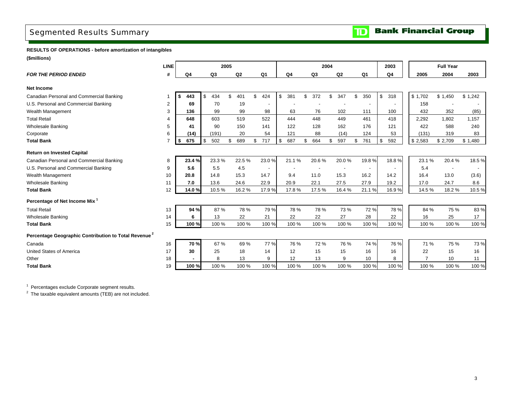## <span id="page-5-0"></span>Segmented Results Summary

**RESULTS OF OPERATIONS - before amortization of intangibles**

**(\$millions)**

|                                                                  | <b>LINE</b>    |                |                | 2005 |       |                          |                | 2004           |           |                | 2003      |         | <b>Full Year</b> |         |
|------------------------------------------------------------------|----------------|----------------|----------------|------|-------|--------------------------|----------------|----------------|-----------|----------------|-----------|---------|------------------|---------|
| <b>FOR THE PERIOD ENDED</b>                                      | #              | Q <sub>4</sub> | Q <sub>3</sub> |      | Q2    | Q <sub>1</sub>           | Q <sub>4</sub> | Q <sub>3</sub> | Q2        | Q <sub>1</sub> | Q4        | 2005    | 2004             | 2003    |
| <b>Net Income</b>                                                |                |                |                |      |       |                          |                |                |           |                |           |         |                  |         |
| Canadian Personal and Commercial Banking                         |                | 443<br>S.      | \$<br>434      | \$   | 401   | \$<br>424                | \$<br>381      | \$<br>372      | \$<br>347 | \$<br>350      | \$<br>318 | \$1,702 | \$1,450          | \$1,242 |
| U.S. Personal and Commercial Banking                             | $\overline{2}$ | 69             | 70             |      | 19    | $\blacksquare$           |                |                |           |                |           | 158     |                  |         |
| Wealth Management                                                | 3              | 136            | 99             |      | 99    | 98                       | 63             | 76             | 102       | 111            | 100       | 432     | 352              | (85)    |
| <b>Total Retail</b>                                              |                | 648            | 603            |      | 519   | 522                      | 444            | 448            | 449       | 461            | 418       | 2,292   | 1,802            | 1,157   |
| <b>Wholesale Banking</b>                                         | 5              | 41             | 90             |      | 150   | 141                      | 122            | 128            | 162       | 176            | 121       | 422     | 588              | 240     |
| Corporate                                                        | 6              | (14)           | (191)          |      | 20    | 54                       | 121            | 88             | (14)      | 124            | 53        | (131)   | 319              | 83      |
| <b>Total Bank</b>                                                |                | \$<br>675      | \$<br>502      | \$   | 689   | \$<br>717                | \$<br>687      | \$<br>664      | \$<br>597 | \$<br>761      | \$<br>592 | \$2,583 | \$2,709          | \$1,480 |
| <b>Return on Invested Capital</b>                                |                |                |                |      |       |                          |                |                |           |                |           |         |                  |         |
| Canadian Personal and Commercial Banking                         | 8              | 23.4%          | 23.3%          |      | 22.5% | 23.0%                    | 21.1%          | 20.6%          | 20.0%     | 19.8%          | 18.8%     | 23.1%   | 20.4%            | 18.5%   |
| U.S. Personal and Commercial Banking                             | 9              | 5.6            | 5.5            |      | 4.5   | $\overline{\phantom{a}}$ |                |                |           |                |           | 5.4     |                  |         |
| Wealth Management                                                | 10             | 20.8           | 14.8           |      | 15.3  | 14.7                     | 9.4            | 11.0           | 15.3      | 16.2           | 14.2      | 16.4    | 13.0             | (3.6)   |
| <b>Wholesale Banking</b>                                         | 11             | 7.0            | 13.6           |      | 24.6  | 22.9                     | 20.9           | 22.1           | 27.5      | 27.9           | 19.2      | 17.0    | 24.7             | 8.6     |
| <b>Total Bank</b>                                                | 12             | 14.0%          | 10.5%          |      | 16.2% | 17.9%                    | 17.8%          | 17.5%          | 16.4%     | 21.1%          | 16.9%     | 14.5%   | 18.2%            | 10.5%   |
| Percentage of Net Income Mix <sup>1</sup>                        |                |                |                |      |       |                          |                |                |           |                |           |         |                  |         |
| <b>Total Retail</b>                                              | 13             | 94 %           | 87 %           |      | 78 %  | 79 %                     | 78 %           | 78 %           | 73 %      | 72 %           | 78 %      | 84 %    | 75 %             | 83 %    |
| <b>Wholesale Banking</b>                                         | 14             | 6              | 13             |      | 22    | 21                       | 22             | 22             | 27        | 28             | 22        | 16      | 25               | 17      |
| <b>Total Bank</b>                                                | 15             | 100 %          | 100 %          |      | 100 % | 100 %                    | 100 %          | 100 %          | 100 %     | 100 %          | 100 %     | 100 %   | 100 %            | 100 %   |
| Percentage Geographic Contribution to Total Revenue <sup>2</sup> |                |                |                |      |       |                          |                |                |           |                |           |         |                  |         |
| Canada                                                           | 16             | 70 %           | 67 %           |      | 69 %  | 77 %                     | 76 %           | 72 %           | 76 %      | 74 %           | 76 %      | 71 %    | 75 %             | 73 %    |
| <b>United States of America</b>                                  | 17             | 30             | 25             |      | 18    | 14                       | 12             | 15             | 15        | 16             | 16        | 22      | 15               | 16      |
| Other                                                            | 18             |                | 8              |      | 13    | 9                        | 12             | 13             | 9         | 10             | 8         |         | 10               | 11      |
| <b>Total Bank</b>                                                | 19             | 100 %          | 100 %          |      | 100 % | 100 %                    | 100 %          | 100 %          | 100 %     | 100 %          | 100 %     | 100 %   | 100 %            | 100 %   |

 $1$  Percentages exclude Corporate segment results.

 $2$  The taxable equivalent amounts (TEB) are not included.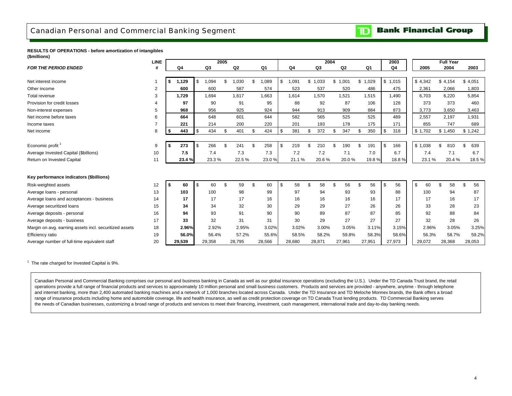## <span id="page-6-0"></span>Canadian Personal and Commercial Banking Segment

#### **Bank Financial Group**  $\mathbf{D}$

#### **RESULTS OF OPERATIONS - before amortization of intangibles (\$millions)**

|                                                        | <b>LINE</b>    |      |        |          |        | 2005 |                |     |        |             | 2004      |     |         |           |     | 2003    |          | <b>Full Year</b> |           |
|--------------------------------------------------------|----------------|------|--------|----------|--------|------|----------------|-----|--------|-------------|-----------|-----|---------|-----------|-----|---------|----------|------------------|-----------|
| <b>FOR THE PERIOD ENDED</b>                            |                |      | Q4     |          | Q3     |      | Q <sub>2</sub> |     | Q1     | Q4          | Q3        |     | Q2      | Q1        |     | Q4      | 2005     | 2004             | 2003      |
|                                                        |                |      |        |          |        |      |                |     |        |             |           |     |         |           |     |         |          |                  |           |
| Net interest income                                    |                | \$   | 1,129  | \$       | ,094   | \$   | 030            | \$  | 089.   | \$<br>1,091 | \$1,033   |     | \$1,001 | \$1,029   |     | \$1,015 | \$4,342  | \$4,154          | \$4,051   |
| Other income                                           | $\overline{2}$ |      | 600    |          | 600    |      | 587            |     | 574    | 523         | 537       |     | 520     | 486       |     | 475     | 2,361    | 2,066            | 1,803     |
| Total revenue                                          | 3              |      | 1,729  |          | 1,694  |      | 1,617          |     | 1,663  | 1,614       | 1,570     |     | 1,521   | 1,515     |     | 1,490   | 6,703    | 6,220            | 5,854     |
| Provision for credit losses                            |                |      | 97     |          | 90     |      | 91             |     | 95     | 88          | 92        |     | 87      | 106       |     | 128     | 373      | 373              | 460       |
| Non-interest expenses                                  | 5              |      | 968    |          | 956    |      | 925            |     | 924    | 944         | 913       |     | 909     | 884       |     | 873     | 3,773    | 3,650            | 3,463     |
| Net income before taxes                                | 6              |      | 664    |          | 648    |      | 601            |     | 644    | 582         | 565       |     | 525     | 525       |     | 489     | 2,557    | 2,197            | 1,931     |
| Income taxes                                           |                |      | 221    |          | 214    |      | 200            |     | 220    | 201         | 193       |     | 178     | 175       |     | 171     | 855      | 747              | 689       |
| Net income                                             | 8              | \$   | 443    | <b>S</b> | 434    | \$   | 401            | \$  | 424    | \$<br>381   | \$<br>372 | \$. | 347     | \$<br>350 | \$. | 318     | \$1,702  | \$1,450          | \$1,242   |
|                                                        |                |      |        |          |        |      |                |     |        |             |           |     |         |           |     |         |          |                  |           |
| Economic profit <sup>1</sup>                           | 9              |      | 273    | . S      | 266    | \$   | 241            | \$. | 258    | \$<br>219   | \$<br>210 |     | 190     | \$<br>191 | \$  | 166     | \$1,038  | \$<br>810        | \$<br>639 |
| Average Invested Capital (\$billions)                  | 10             |      | 7.5    |          | 7.4    |      | 7.3            |     | 7.3    | 7.2         | 7.2       |     | 7.1     | 7.0       |     | 6.7     | 7.4      | 7.1              | 6.7       |
| Return on Invested Capital                             | 11             |      | 23.4 % |          | 23.3%  |      | 22.5%          |     | 23.0%  | 21.1%       | 20.6%     |     | 20.0%   | 19.8%     |     | 18.8%   | 23.1%    | 20.4%            | 18.5%     |
|                                                        |                |      |        |          |        |      |                |     |        |             |           |     |         |           |     |         |          |                  |           |
| Key performance indicators (\$billions)                |                |      |        |          |        |      |                |     |        |             |           |     |         |           |     |         |          |                  |           |
| Risk-weighted assets                                   | 12             | - \$ | 60     | <b>S</b> | 60     | \$   | 59             | \$  | 60     | \$<br>58    | \$<br>58  |     | 56      | \$<br>56  | \$  | 56      | \$<br>60 | \$<br>58         | \$<br>56  |
| Average loans - personal                               | 13             |      | 103    |          | 100    |      | 98             |     | 99     | 97          | 94        |     | 93      | 93        |     | 88      | 100      | 94               | 87        |
| Average loans and acceptances - business               | 14             |      | 17     |          | 17     |      | 17             |     | 16     | 16          | 16        |     | 16      | 16        |     | 17      | 17       | 16               | 17        |
| Average securitized loans                              | 15             |      | 34     |          | 34     |      | 32             |     | 30     | 29          | 29        |     | 27      | 26        |     | 26      | 33       | 28               | 23        |
| Average deposits - personal                            | 16             |      | 94     |          | 93     |      | 91             |     | 90     | 90          | 89        |     | 87      | 87        |     | 85      | 92       | 88               | 84        |
| Average deposits - business                            | 17             |      | 33     |          | 32     |      | 31             |     | 31     | 30          | 29        |     | 27      | 27        |     | 27      | 32       | 28               | 26        |
| Margin on avg. earning assets incl. securitized assets | 18             |      | 2.96%  |          | 2.92%  |      | 2.95%          |     | 3.02%  | 3.02%       | 3.00%     |     | 3.05%   | 3.11%     |     | 3.15%   | 2.96%    | 3.05%            | 3.25%     |
| Efficiency ratio                                       | 19             |      | 56.0%  |          | 56.4%  |      | 57.2%          |     | 55.6%  | 58.5%       | 58.2%     |     | 59.8%   | 58.3%     |     | 58.6%   | 56.3%    | 58.7%            | 59.2%     |
| Average number of full-time equivalent staff           | 20             |      | 29,539 |          | 29,358 |      | 28.795         |     | 28,566 | 28,680      | 28.871    |     | 27,961  | 27,951    |     | 27,973  | 29,072   | 28,368           | 28,053    |

 $1$  The rate charged for Invested Capital is 9%.

Canadian Personal and Commercial Banking comprises our personal and business banking in Canada as well as our global insurance operations (excluding the U.S.). Under the TD Canada Trust brand, the retail operations provide a full range of financial products and services to approximately 10 million personal and small business customers. Products and services are provided - anywhere, anytime - through telephone and internet banking, more than 2,400 automated banking machines and a network of 1,000 branches located across Canada. Under the TD Insurance and TD Meloche Monnex brands, the Bank offers a broad range of insurance products including home and automobile coverage, life and health insurance, as well as credit protection coverage on TD Canada Trust lending products. TD Commercial Banking serves the needs of Canadian businesses, customizing a broad range of products and services to meet their financing, investment, cash management, international trade and day-to-day banking needs.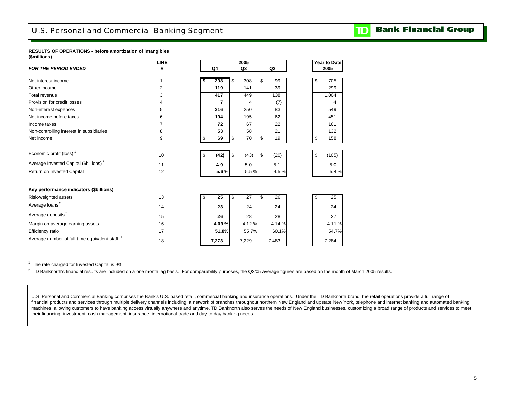<span id="page-7-0"></span>**RESULTS OF OPERATIONS - before amortization of intangibles (\$millions)**

|                                                           | LINE |    |                | 2005           |                | Year to Date |
|-----------------------------------------------------------|------|----|----------------|----------------|----------------|--------------|
| <b>FOR THE PERIOD ENDED</b>                               | #    |    | Q <sub>4</sub> | Q3             | Q <sub>2</sub> | 2005         |
| Net interest income                                       | 1    | S  | 298            | \$<br>308      | \$<br>99       | \$<br>705    |
| Other income                                              | 2    |    | 119            | 141            | 39             | 299          |
| Total revenue                                             | 3    |    | 417            | 449            | 138            | 1,004        |
| Provision for credit losses                               | 4    |    | 7              | $\overline{4}$ | (7)            | 4            |
| Non-interest expenses                                     | 5    |    | 216            | 250            | 83             | 549          |
| Net income before taxes                                   | 6    |    | 194            | 195            | 62             | 451          |
| Income taxes                                              | 7    |    | 72             | 67             | 22             | 161          |
| Non-controlling interest in subsidiaries                  | 8    |    | 53             | 58             | 21             | 132          |
| Net income                                                | 9    | \$ | 69             | 70<br>\$       | \$<br>19       | 158<br>\$    |
|                                                           |      |    |                |                |                |              |
| Economic profit (loss) <sup>1</sup>                       | 10   | \$ | (42)           | \$<br>(43)     | \$<br>(20)     | \$<br>(105)  |
| Average Invested Capital (\$billions) <sup>2</sup>        | 11   |    | 4.9            | 5.0            | 5.1            | 5.0          |
| Return on Invested Capital                                | 12   |    | 5.6%           | 5.5%           | 4.5%           | 5.4 %        |
|                                                           |      |    |                |                |                |              |
| Key performance indicators (\$billions)                   |      |    |                |                |                |              |
| Risk-weighted assets                                      | 13   | \$ | 25             | \$<br>27       | \$<br>26       | \$<br>25     |
| Average loans <sup>2</sup>                                | 14   |    | 23             | 24             | 24             | 24           |
| Average deposits <sup>2</sup>                             | 15   |    | 26             | 28             | 28             | 27           |
| Margin on average earning assets                          | 16   |    | 4.09%          | 4.12%          | 4.14%          | 4.11%        |
| Efficiency ratio                                          | 17   |    | 51.8%          | 55.7%          | 60.1%          | 54.7%        |
| Average number of full-time equivalent staff <sup>2</sup> | 18   |    | 7,273          | 7,229          | 7,483          | 7,284        |

 $1$  The rate charged for Invested Capital is 9%.

 $2$  TD Banknorth's financial results are included on a one month lag basis. For comparability purposes, the Q2/05 average figures are based on the month of March 2005 results.

U.S. Personal and Commercial Banking comprises the Bank's U.S. based retail, commercial banking and insurance operations. Under the TD Banknorth brand, the retail operations provide a full range of financial products and services through multiple delivery channels including, a network of branches throughout northern New England and upstate New York, telephone and internet banking and automated banking machines, allowing customers to have banking access virtually anywhere and anytime. TD Banknorth also serves the needs of New England businesses, customizing a broad range of products and services to meet their financing, investment, cash management, insurance, international trade and day-to-day banking needs.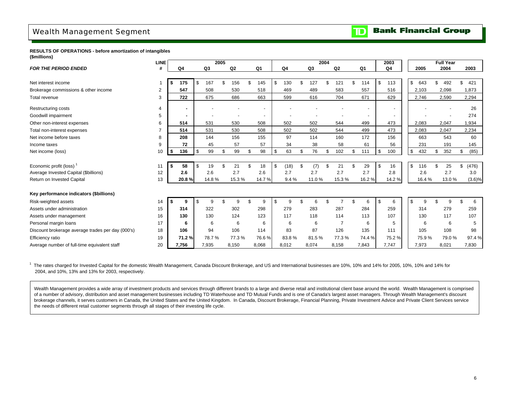## <span id="page-8-0"></span>Wealth Management Segment

#### **RESULTS OF OPERATIONS - before amortization of intangibles (\$millions)**

|                                                   | <b>LINE</b> |           |                |       | 2005 |       |                |            |     |       | 2004 |                |     |       |     | 2003           |       |       |    | <b>Full Year</b> |             |
|---------------------------------------------------|-------------|-----------|----------------|-------|------|-------|----------------|------------|-----|-------|------|----------------|-----|-------|-----|----------------|-------|-------|----|------------------|-------------|
| <b>FOR THE PERIOD ENDED</b>                       |             | Q4        | Q <sub>3</sub> |       |      | Q2    | Q <sub>1</sub> | Q4         |     | Q3    |      | Q <sub>2</sub> |     | Q1    |     | Q <sub>4</sub> | 2005  |       |    | 2004             | 2003        |
|                                                   |             |           |                |       |      |       |                |            |     |       |      |                |     |       |     |                |       |       |    |                  |             |
| Net interest income                               |             | 175<br>\$ | £.             | 167   | \$   | 156   | \$<br>145      | \$<br>130  | \$. | 127   | \$   | 121            | \$. | 114   | -\$ | 113            | \$    | 643   | \$ | 492              | \$<br>421   |
| Brokerage commissions & other income              | 2           | 547       |                | 508   |      | 530   | 518            | 469        |     | 489   |      | 583            |     | 557   |     | 516            | 2,103 |       |    | 2,098            | 1,873       |
| Total revenue                                     | 3           | 722       |                | 675   |      | 686   | 663            | 599        |     | 616   |      | 704            |     | 671   |     | 629            | 2,746 |       |    | 2,590            | 2,294       |
| Restructuring costs                               | 4           |           |                |       |      |       |                |            |     |       |      |                |     |       |     |                |       |       |    |                  | 26          |
| Goodwill impairment                               | 5           |           |                |       |      |       |                |            |     |       |      |                |     |       |     |                |       |       |    |                  | 274         |
| Other non-interest expenses                       | 6           | 514       |                | 531   |      | 530   | 508            | 502        |     | 502   |      | 544            |     | 499   |     | 473            | 2,083 |       |    | 2,047            | 1,934       |
| Total non-interest expenses                       |             | 514       |                | 531   |      | 530   | 508            | 502        |     | 502   |      | 544            |     | 499   |     | 473            | 2,083 |       |    | 2,047            | 2,234       |
| Net income before taxes                           | 8           | 208       |                | 144   |      | 156   | 155            | 97         |     | 114   |      | 160            |     | 172   |     | 156            |       | 663   |    | 543              | 60          |
| Income taxes                                      | 9           | 72        |                | 45    |      | 57    | 57             | 34         |     | 38    |      | 58             |     | 61    |     | 56             |       | 231   |    | 191              | 145         |
| Net income (loss)                                 | 10          | Ŝ.<br>136 | \$             | 99    | \$   | 99    | \$<br>98       | \$<br>63   | \$  | 76    | \$   | 102            | \$  | 111   | \$  | 100            | \$    | 432   | \$ | 352              | \$<br>(85)  |
|                                                   |             |           |                |       |      |       |                |            |     |       |      |                |     |       |     |                |       |       |    |                  |             |
| Economic profit (loss) <sup>1</sup>               | 11          | \$<br>58  | £.             | 19    |      | 21    | \$<br>18       | \$<br>(18) | \$  | (7)   | \$   | 21             | \$  | 29    | \$  | 16             | \$    | 116   | £. | 25               | \$<br>(476) |
| Average Invested Capital (\$billions)             | 12          | 2.6       |                | 2.6   |      | 2.7   | 2.6            | 2.7        |     | 2.7   |      | 2.7            |     | 2.7   |     | 2.8            |       | 2.6   |    | 2.7              | 3.0         |
| Return on Invested Capital                        | 13          | 20.8%     |                | 14.8% |      | 15.3% | 14.7%          | 9.4%       |     | 11.0% |      | 15.3%          |     | 16.2% |     | 14.2%          |       | 16.4% |    | 13.0%            | $(3.6)\%$   |
|                                                   |             |           |                |       |      |       |                |            |     |       |      |                |     |       |     |                |       |       |    |                  |             |
| Key performance indicators (\$billions)           |             |           |                |       |      |       |                |            |     |       |      |                |     |       |     |                |       |       |    |                  |             |
| Risk-weighted assets                              | 14          | \$<br>9   |                | 9     |      | 9     | \$<br>9        | \$<br>9    |     |       |      |                | \$. |       | \$  | 6              | \$    | g     |    |                  | \$<br>6     |
| Assets under administration                       | 15          | 314       |                | 322   |      | 302   | 298            | 279        |     | 283   |      | 287            |     | 284   |     | 259            |       | 314   |    | 279              | 259         |
| Assets under management                           | 16          | 130       |                | 130   |      | 124   | 123            | 117        |     | 118   |      | 114            |     | 113   |     | 107            |       | 130   |    | 117              | 107         |
| Personal margin loans                             | 17          | 6         |                | 6     |      | 6     | 6              | 6          |     | 6     |      | $\overline{7}$ |     | 6     |     | 5              |       | 6     |    | 6                | 5           |
| Discount brokerage average trades per day (000's) | 18          | 106       |                | 94    |      | 106   | 114            | 83         |     | 87    |      | 126            |     | 135   |     | 111            |       | 105   |    | 108              | 98          |
| Efficiency ratio                                  | 19          | 71.2%     |                | 78.7% |      | 77.3% | 76.6%          | 83.8%      |     | 81.5% |      | 77.3%          |     | 74.4% |     | 75.2%          |       | 75.9% |    | 79.0%            | 97.4%       |
| Average number of full-time equivalent staff      | 20          | 7,756     |                | 7,935 |      | 8,150 | 8,068          | 8,012      |     | 8,074 |      | 8,158          |     | 7,843 |     | 7.747          | 7,973 |       |    | 8,021            | 7,830       |

<sup>1</sup> The rates charged for Invested Capital for the domestic Wealth Management, Canada Discount Brokerage, and US and International businesses are 10%, 10% and 14% for 2005, 10%, 10% and 14% for 2005, 10% and 14% for 2004, and 10%, 13% and 13% for 2003, respectively.

Wealth Management provides a wide array of investment products and services through different brands to a large and diverse retail and institutional client base around the world. Wealth Management is comprised of a number of advisory, distribution and asset management businesses including TD Waterhouse and TD Mutual Funds and is one of Canada's largest asset managers. Through Wealth Management's discount brokerage channels, it serves customers in Canada, the United States and the United Kingdom. In Canada, Discount Brokerage, Financial Planning, Private Investment Advice and Private Client Services service the needs of different retail customer segments through all stages of their investing life cycle.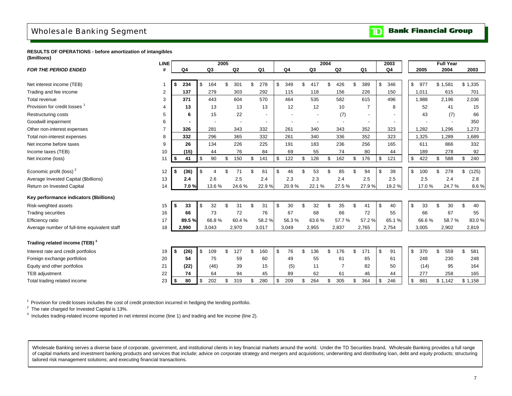## <span id="page-9-0"></span>Wholesale Banking Segment

#### **Bank Financial Group** וסד

**RESULTS OF OPERATIONS - before amortization of intangibles (\$millions)**

|                                              | <b>LINE</b>    |      |       |          |                | 2005 |                |                          |                |                | 2004 |                |                | 2003      |           |       | <b>Full Year</b> |             |
|----------------------------------------------|----------------|------|-------|----------|----------------|------|----------------|--------------------------|----------------|----------------|------|----------------|----------------|-----------|-----------|-------|------------------|-------------|
| <b>FOR THE PERIOD ENDED</b>                  | #              |      | Q4    |          | Q <sub>3</sub> |      | Q <sub>2</sub> | Q <sub>1</sub>           | Q <sub>4</sub> | Q <sub>3</sub> |      | Q2             | Q <sub>1</sub> | Q4        | 2005      |       | 2004             | 2003        |
|                                              |                |      |       |          |                |      |                |                          |                |                |      |                |                |           |           |       |                  |             |
| Net interest income (TEB)                    | 1              | - \$ | 234   | \$       | 164            | \$   | 301            | \$<br>278                | \$<br>349      | \$<br>417      | \$   | 426            | \$<br>389      | \$<br>346 | \$<br>977 |       | \$1,581          | \$1,335     |
| Trading and fee income                       | 2              |      | 137   |          | 279            |      | 303            | 292                      | 115            | 118            |      | 156            | 226            | 150       | 1,011     |       | 615              | 701         |
| Total revenue                                | 3              |      | 371   |          | 443            |      | 604            | 570                      | 464            | 535            |      | 582            | 615            | 496       | 1,988     |       | 2,196            | 2,036       |
| Provision for credit losses                  | 4              |      | 13    |          | 13             |      | 13             | 13                       | 12             | 12             |      | 10             | $\overline{7}$ | 8         | 52        |       | 41               | 15          |
| <b>Restructuring costs</b>                   | 5              |      | 6     |          | 15             |      | 22             | $\overline{\phantom{a}}$ |                |                |      | (7)            |                |           | 43        |       | (7)              | 66          |
| Goodwill impairment                          | 6              |      |       |          |                |      |                | $\blacksquare$           |                |                |      |                |                |           |           |       |                  | 350         |
| Other non-interest expenses                  | $\overline{7}$ |      | 326   |          | 281            |      | 343            | 332                      | 261            | 340            |      | 343            | 352            | 323       | 1,282     |       | 1,296            | 1,273       |
| Total non-interest expenses                  | 8              |      | 332   |          | 296            |      | 365            | 332                      | 261            | 340            |      | 336            | 352            | 323       | 1,325     |       | 1,289            | 1,689       |
| Net income before taxes                      | 9              |      | 26    |          | 134            |      | 226            | 225                      | 191            | 183            |      | 236            | 256            | 165       | 611       |       | 866              | 332         |
| Income taxes (TEB)                           | 10             |      | (15)  |          | 44             |      | 76             | 84                       | 69             | 55             |      | 74             | 80             | 44        | 189       |       | 278              | 92          |
| Net income (loss)                            | 11             | \$   | 41    | \$       | 90             | \$   | 150            | \$<br>141                | \$<br>122      | \$<br>128      | \$   | 162            | \$<br>176      | \$<br>121 | \$<br>422 |       | \$<br>588        | \$<br>240   |
|                                              |                |      |       |          |                |      |                |                          |                |                |      |                |                |           |           |       |                  |             |
| Economic profit (loss) <sup>2</sup>          | 12             | -\$  | (36)  | <b>S</b> | 4              | \$   | 71             | \$<br>61                 | \$<br>46       | \$<br>53       | \$   | 85             | \$<br>94       | \$<br>39  | \$<br>100 |       | \$<br>278        | \$<br>(125) |
| Average Invested Capital (\$billions)        | 13             |      | 2.4   |          | 2.6            |      | 2.5            | 2.4                      | 2.3            | 2.3            |      | 2.4            | 2.5            | 2.5       | 2.5       |       | 2.4              | 2.8         |
| Return on Invested Capital                   | 14             |      | 7.0%  |          | 13.6%          |      | 24.6%          | 22.9%                    | 20.9%          | 22.1%          |      | 27.5%          | 27.9%          | 19.2%     |           | 17.0% | 24.7%            | 8.6%        |
| Key performance indicators (\$billions)      |                |      |       |          |                |      |                |                          |                |                |      |                |                |           |           |       |                  |             |
| Risk-weighted assets                         | 15             | 5    | 33    | \$       | 32             | \$   | 31             | \$<br>31                 | \$<br>30       | \$<br>32       | \$   | 35             | \$<br>41       | \$<br>40  | \$<br>33  |       | \$<br>30         | \$<br>40    |
| <b>Trading securities</b>                    | 16             |      | 66    |          | 73             |      | 72             | 76                       | 67             | 68             |      | 66             | 72             | 55        | 66        |       | 67               | 55          |
| Efficiency ratio                             | 17             |      | 89.5% |          | 66.8%          |      | 60.4%          | 58.2%                    | 56.3%          | 63.6%          |      | 57.7%          | 57.2%          | 65.1%     |           | 66.6% | 58.7%            | 83.0%       |
| Average number of full-time equivalent staff | 18             |      | 2,990 |          | 3,043          |      | 2,970          | 3,017                    | 3,049          | 2,955          |      | 2,837          | 2,765          | 2,754     | 3,005     |       | 2,902            | 2,819       |
|                                              |                |      |       |          |                |      |                |                          |                |                |      |                |                |           |           |       |                  |             |
| Trading related income (TEB) <sup>3</sup>    |                |      |       |          |                |      |                |                          |                |                |      |                |                |           |           |       |                  |             |
| Interest rate and credit portfolios          | 19             | -\$  | (26)  | \$       | 109            | \$   | 127            | \$<br>160                | \$<br>76       | \$<br>136      | \$   | 176            | \$<br>171      | \$<br>91  | \$<br>370 |       | \$<br>559        | \$<br>581   |
| Foreign exchange portfolios                  | 20             |      | 54    |          | 75             |      | 59             | 60                       | 49             | 55             |      | 61             | 65             | 61        | 248       |       | 230              | 248         |
| Equity and other portfolios                  | 21             |      | (22)  |          | (46)           |      | 39             | 15                       | (5)            | 11             |      | $\overline{7}$ | 82             | 50        | (14)      |       | 95               | 164         |
| <b>TEB</b> adjustment                        | 22             |      | 74    |          | 64             |      | 94             | 45                       | 89             | 62             |      | 61             | 46             | 44        | 277       |       | 258              | 165         |
| Total trading related income                 | 23             | \$   | 80    | \$       | 202            | \$   | 319            | \$<br>280                | \$<br>209      | \$<br>264      | \$   | 305            | \$<br>364      | \$<br>246 | \$<br>881 |       | \$1,142          | \$1,158     |
|                                              |                |      |       |          |                |      |                |                          |                |                |      |                |                |           |           |       |                  |             |

 $1$  Provision for credit losses includes the cost of credit protection incurred in hedging the lending portfolio.

 $2$  The rate charged for Invested Capital is 13%.

<sup>3</sup> Includes trading-related income reported in net interest income (line 1) and trading and fee income (line 2).

Wholesale Banking serves a diverse base of corporate, government, and institutional clients in key financial markets around the world. Under the TD Securities brand, Wholesale Banking provides a full range of capital markets and investment banking products and services that include; advice on corporate strategy and mergers and acquisitions; underwriting and distributing loan, debt and equity products; structuring tailored risk management solutions; and executing financial transactions.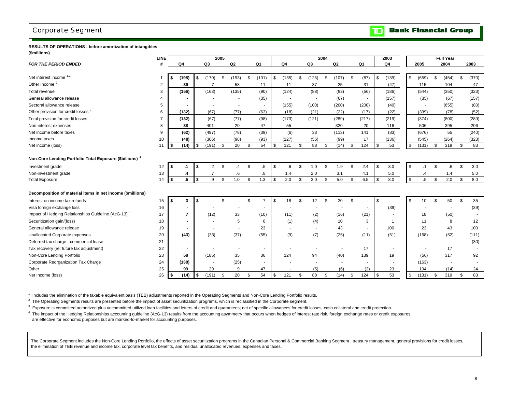### <span id="page-10-0"></span>Corporate Segment

#### **Bank Financial Group**  $\mathbf{D}$

#### **RESULTS OF OPERATIONS - before amortization of intangibles (\$millions)**

|                                                                 | LINE           |                |     |                          | 2005 |                          |                          |           |       |      |        | 2004 |                          |                          |                | 2003           |                 |    | <b>Full Year</b> |             |
|-----------------------------------------------------------------|----------------|----------------|-----|--------------------------|------|--------------------------|--------------------------|-----------|-------|------|--------|------|--------------------------|--------------------------|----------------|----------------|-----------------|----|------------------|-------------|
| <b>FOR THE PERIOD ENDED</b>                                     | #              | Q4             |     | Q3                       |      | Q2                       | Q1                       |           | Q4    |      | Q3     |      | Q <sub>2</sub>           | Q1                       |                | Q <sub>4</sub> | 2005            |    | 2004             | 2003        |
|                                                                 |                |                |     |                          |      |                          |                          |           |       |      |        |      |                          |                          |                |                |                 |    |                  |             |
| Net interest income 1,2                                         |                | (195)          | \$. | (170)                    | \$   | (193)                    | \$<br>(101)              | \$        | (135) | \$   | (125)  | \$   | (107)                    | \$<br>(87)               | \$             | (139)          | \$<br>(659)     | ٩. | (454)            | \$<br>(370) |
| Other Income <sup>2</sup>                                       | $\overline{2}$ | 39             |     | $\overline{7}$           |      | 58                       | 11                       |           | 11    |      | 37     |      | 25                       | 31                       |                | (47)           | 115             |    | 104              | 47          |
| Total revenue                                                   | 3              | (156)          |     | (163)                    |      | (135)                    | (90)                     |           | (124) |      | (88)   |      | (82)                     | (56)                     |                | (186)          | (544)           |    | (350)            | (323)       |
| General allowance release                                       | 4              |                |     |                          |      |                          | (35)                     |           |       |      |        |      | (67)                     |                          |                | (157)          | (35)            |    | (67)             | (157)       |
| Sectoral allowance release                                      | 5              |                |     |                          |      | $\overline{\phantom{a}}$ | $\blacksquare$           |           | (155) |      | (100)  |      | (200)                    | (200)                    |                | (40)           |                 |    | (655)            | (80)        |
| Other provision for credit losses <sup>2</sup>                  | 6              | (132)          |     | (67)                     |      | (77)                     | (63)                     |           | (18)  |      | (21)   |      | (22)                     | (17)                     |                | (22)           | (339)           |    | (78)             | (52)        |
| Total provision for credit losses                               | $\overline{7}$ | (132)          |     | (67)                     |      | (77)                     | (98)                     |           | (173) |      | (121)  |      | (289)                    | (217)                    |                | (219)          | (374)           |    | (800)            | (289)       |
| Non-interest expenses                                           | 8              | 38             |     | 401                      |      | 20                       | 47                       |           | 55    |      | $\sim$ |      | 320                      | 20                       |                | 116            | 506             |    | 395              | 206         |
| Net income before taxes                                         | 9              | (62)           |     | (497)                    |      | (78)                     | (39)                     |           | (6)   |      | 33     |      | (113)                    | 141                      |                | (83)           | (676)           |    | 55               | (240)       |
| Income taxes <sup>1</sup>                                       | 10             | (48)           |     | (306)                    |      | (98)                     | (93)                     |           | (127) |      | (55)   |      | (99)                     | 17                       |                | (136)          | (545)           |    | (264)            | (323)       |
| Net income (loss)                                               | 11             | \$<br>(14)     | \$  | (191)                    | \$   | 20                       | \$<br>54                 | \$        | 121   | \$   | 88     | \$   | (14)                     | \$<br>124                | $\mathfrak{L}$ | 53             | \$<br>(131)     | \$ | 319              | \$<br>83    |
| Non-Core Lending Portfolio Total Exposure (\$billions) 3        |                |                |     |                          |      |                          |                          |           |       |      |        |      |                          |                          |                |                |                 |    |                  |             |
|                                                                 |                |                |     |                          |      |                          |                          |           |       |      |        |      |                          |                          |                |                |                 |    |                  |             |
| Investment grade                                                | 12             | $\cdot$ 1<br>£ | \$  | $\cdot$                  | \$   | $\overline{A}$           | \$<br>.5                 | \$        | .6    | \$   | 1.0    | \$   | 1.9                      | \$<br>2.4                | \$             | 3.0            | \$<br>$\cdot$ 1 | \$ | 6.6              | \$<br>3.0   |
| Non-investment grade                                            | 13             | .4             |     | $\cdot$ 7                |      | .6                       | $\boldsymbol{.8}$        |           | 1.4   |      | 2.0    |      | 3.1                      | 4.1                      |                | $5.0\,$        | $\cdot$         |    | 1.4              | 5.0         |
| <b>Total Exposure</b>                                           | 14             | $.5\,$<br>\$   | \$  | .9                       | \$   | 1.0                      | \$<br>1.3                | <b>\$</b> | 2.0   | - \$ | 3.0    | \$   | 5.0                      | \$<br>6.5                | $\mathfrak{S}$ | 8.0            | \$<br>$.5\,$    | \$ | 2.0              | \$<br>8.0   |
| Decomposition of material items in net income (\$millions)      |                |                |     |                          |      |                          |                          |           |       |      |        |      |                          |                          |                |                |                 |    |                  |             |
| Interest on income tax refunds                                  | 15             | 3<br>S         | \$  |                          | £.   |                          | $\overline{7}$           | \$        | 18    | \$   | 12     | \$   | 20                       | \$                       | \$             |                | \$<br>10        | \$ | 50               | \$<br>35    |
| Visa foreign exchange loss                                      | 16             |                |     |                          |      |                          | ٠                        |           |       |      |        |      |                          |                          |                | (39)           |                 |    |                  | (39)        |
| Impact of Hedging Relationships Guideline (AcG-13) <sup>4</sup> | 17             | $\overline{7}$ |     | (12)                     |      | 33                       | (10)                     |           | (11)  |      | (2)    |      | (16)                     | (21)                     |                |                | 18              |    | (50)             | $\sim$      |
| Securitization gain/(loss)                                      | 18             | $\blacksquare$ |     |                          |      | 5                        | 6                        |           | (1)   |      | (4)    |      | 10                       | 3                        |                |                | 11              |    | 8                | 12          |
| General allowance release                                       | 19             | $\blacksquare$ |     |                          |      | $\blacksquare$           | 23                       |           |       |      |        |      | 43                       | $\overline{\phantom{a}}$ |                | 100            | 23              |    | 43               | 100         |
| Unallocated Corporate expenses                                  | 20             | (43)           |     | (33)                     |      | (37)                     | (55)                     |           | (9)   |      | (7)    |      | (25)                     | (11)                     |                | (51)           | (168)           |    | (52)             | (111)       |
| Deferred tax charge - commercial lease                          | 21             | $\blacksquare$ |     |                          |      |                          |                          |           |       |      |        |      |                          |                          |                |                |                 |    |                  | (30)        |
| Tax recovery (re: future tax adjustment)                        | 22             | $\blacksquare$ |     |                          |      |                          | $\overline{\phantom{a}}$ |           |       |      |        |      |                          | 17                       |                |                |                 |    | 17               |             |
| Non-Core Lending Portfolio                                      | 23             | 58             |     | (185)                    |      | 35                       | 36                       |           | 124   |      | 94     |      | (40)                     | 139                      |                | 19             | (56)            |    | 317              | 92          |
| Corporate Reorganization Tax Charge                             | 24             | (138)          |     | $\overline{\phantom{a}}$ |      | (25)                     | $\overline{\phantom{a}}$ |           |       |      |        |      | $\overline{\phantom{a}}$ | $\overline{\phantom{a}}$ |                |                | (163)           |    | $\blacksquare$   |             |
| Other                                                           | 25             | 99             |     | 39                       |      | 9                        | 47                       |           |       |      | (5)    |      | (6)                      | (3)                      |                | 23             | 194             |    | (14)             | 24          |
| Net Income (loss)                                               | 26             | (14)<br>\$     |     | (191)                    | \$   | 20                       | \$<br>54                 | \$        | 121   | \$   | 88     | \$   | (14)                     | \$<br>124                | \$             | 53             | \$<br>(131)     |    | 319              | \$<br>83    |

1 Includes the elimination of the taxable equivalent basis (TEB) adjustments reported in the Operating Segments and Non-Core Lending Portfolio results.

 $2$  The Operating Segments results are presented before the impact of asset securitization programs, which is reclassified in the Corporate segment.

<sup>3</sup> Exposure is committed authorized plus uncommitted utilized loan facilities and letters of credit and guarantees; net of specific allowances for credit losses, cash collateral and credit protection.

<sup>4</sup> The impact of the Hedging Relationships accounting guideline (AcG-13) results from the accounting asymmetry that occurs when hedges of interest rate risk, foreign exchange rates or credit exposures are effective for economic purposes but are marked-to-market for accounting purposes.

The Corporate Segment includes the Non-Core Lending Portfolio, the effects of asset securitization programs in the Canadian Personal & Commercial Banking Segment , treasury management, general provisions for credit losses, the elimination of TEB revenue and income tax, corporate level tax benefits, and residual unallocated revenues, expenses and taxes.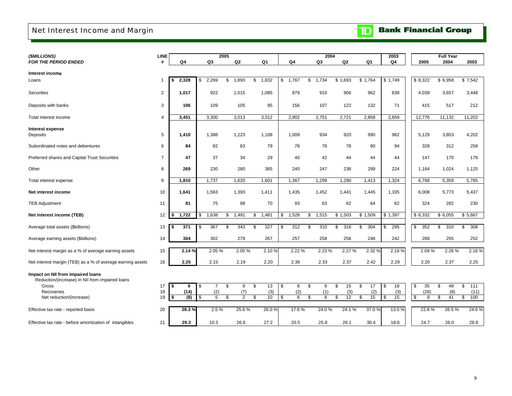## <span id="page-11-0"></span>Net Interest Income and Margin

| <b>TD</b> Bank Financial Group |
|--------------------------------|
|--------------------------------|

| (\$MILLIONS)                                               | <b>LINE</b>    |             |     |                | 2005 |                |              |                |                |    | 2004  |                |     |                | 2003           |           | <b>Full Year</b> |         |       |
|------------------------------------------------------------|----------------|-------------|-----|----------------|------|----------------|--------------|----------------|----------------|----|-------|----------------|-----|----------------|----------------|-----------|------------------|---------|-------|
| <b>FOR THE PERIOD ENDED</b>                                | #              | Q4          |     | Q <sub>3</sub> |      | Q2             |              | Q <sub>1</sub> | Q <sub>4</sub> |    | Q3    | Q <sub>2</sub> |     | Q <sub>1</sub> | Q <sub>4</sub> | 2005      | 2004             |         | 2003  |
| Interest income                                            |                |             |     |                |      |                |              |                |                |    |       |                |     |                |                |           |                  |         |       |
| Loans                                                      |                | 2,328<br>\$ | \$  | 2,269          | \$   | 1,893          | $\mathbb{S}$ | 1,832          | \$<br>1,767    | \$ | 1,734 | \$1,693        |     | \$1,764        | \$1,749        | \$8,322   | \$6,958          | \$7,542 |       |
|                                                            |                |             |     |                |      |                |              |                |                |    |       |                |     |                |                |           |                  |         |       |
| <b>Securities</b>                                          | $\overline{c}$ | 1,017       |     | 922            |      | 1,015          |              | 1,085          | 879            |    | 910   | 906            |     | 962            | 839            | 4,039     | 3,657            |         | 3,448 |
|                                                            |                |             |     |                |      |                |              |                |                |    |       |                |     |                |                |           |                  |         |       |
| Deposits with banks                                        | 3              | 106         |     | 109            |      | 105            |              | 95             | 156            |    | 107   | 122            |     | 132            | 71             | 415       | 517              |         | 212   |
| Total interest income                                      | 4              | 3,451       |     | 3,300          |      | 3,013          |              | 3,012          | 2,802          |    | 2,751 | 2,721          |     | 2,858          | 2,659          | 12,776    | 11,132           | 11,202  |       |
|                                                            |                |             |     |                |      |                |              |                |                |    |       |                |     |                |                |           |                  |         |       |
| Interest expense<br>Deposits                               | 5              | 1,410       |     | 1,388          |      | 1,223          |              | 1,108          | 1,009          |    | 934   | 920            |     | 990            | 962            | 5,129     | 3,853            |         | 4,202 |
|                                                            |                |             |     |                |      |                |              |                |                |    |       |                |     |                |                |           |                  |         |       |
| Subordinated notes and debentures                          | 6              | 84          |     | 82             |      | 83             |              | 79             | 78             |    | 76    | 78             |     | 80             | 94             | 328       | 312              |         | 259   |
| Preferred shares and Capital Trust Securities              | $\overline{7}$ | 47          |     | 37             |      | 34             |              | 29             | 40             |    | 42    | 44             |     | 44             | 44             | 147       | 170              |         | 179   |
|                                                            |                |             |     |                |      |                |              |                |                |    |       |                |     |                |                |           |                  |         |       |
| Other                                                      | 8              | 269         |     | 230            |      | 280            |              | 385            | 240            |    | 247   | 238            |     | 299            | 224            | 1,164     | 1,024            |         | 1,125 |
| Total interest expense                                     | 9              | 1,810       |     | 1,737          |      | 1,620          |              | 1,601          | 1,367          |    | 1,299 | 1,280          |     | 1,413          | 1,324          | 6,768     | 5,359            |         | 5,765 |
|                                                            |                |             |     |                |      |                |              |                |                |    |       |                |     |                |                |           |                  |         |       |
| Net interest income                                        | 10             | 1,641       |     | 1,563          |      | 1,393          |              | 1,411          | 1,435          |    | 1,452 | 1,441          |     | 1,445          | 1,335          | 6,008     | 5,773            |         | 5,437 |
|                                                            | 11             | 81          |     | 75             |      | 98             |              | 70             | 93             |    | 63    | 62             |     | 64             | 62             | 324       | 282              |         | 230   |
| <b>TEB Adjustment</b>                                      |                |             |     |                |      |                |              |                |                |    |       |                |     |                |                |           |                  |         |       |
| Net interest income (TEB)                                  | 12             | 1,722<br>S  | \$  | 1,638          | \$   | 1,491          | \$           | 1,481          | \$<br>1,528    | S  | 1,515 | \$1,503        |     | \$1,509        | \$1,397        | \$ 6,332  | \$6,055          | \$5,667 |       |
|                                                            |                |             |     |                |      |                |              |                |                |    |       |                |     |                |                |           |                  |         |       |
| Average total assets (\$billions)                          | 13             | 371<br>\$   | \$  | 367            | \$   | 343            | \$           | 327            | \$<br>312      | \$ | 310   | 316<br>\$      | \$  | 304            | 295<br>\$      | \$<br>352 | \$<br>310        | \$      | 308   |
| Average earning assets (\$billions)                        | 14             | 304         |     | 302            |      | 279            |              | 267            | 257            |    | 258   | 258            |     | 248            | 242            | 288       | 255              |         | 252   |
|                                                            |                |             |     |                |      |                |              |                |                |    |       |                |     |                |                |           |                  |         |       |
| Net interest margin as a % of average earning assets       | 15             | 2.14 %      |     | 2.05%          |      | 2.05 %         |              | 2.10%          | 2.22 %         |    | 2.23% | 2.27 %         |     | 2.32 %         | 2.19%          | 2.09%     | 2.26%            |         | 2.16% |
| Net interest margin (TEB) as a % of average earning assets | 16             | 2.25        |     | 2.15           |      | 2.19           |              | 2.20           | 2.36           |    | 2.33  | 2.37           |     | 2.42           | 2.29           | 2.20      | 2.37             |         | 2.25  |
|                                                            |                |             |     |                |      |                |              |                |                |    |       |                |     |                |                |           |                  |         |       |
| Impact on NII from impaired loans                          |                |             |     |                |      |                |              |                |                |    |       |                |     |                |                |           |                  |         |       |
| Reduction/(increase) in NII from impaired loans<br>Gross   | 17             | \$<br>6     | \$  | $\overline{7}$ | \$   | 9              | \$           | 13             | \$<br>8        | \$ | 9     | \$<br>15       | \$  | 17             | \$<br>18       | \$<br>35  | \$<br>49         | \$      | 111   |
| <b>Recoveries</b>                                          | 18             | (14)        |     | (2)            |      | (7)            |              | (3)            | (2)            |    | (1)   | (3)            |     | (2)            | (3)            | (26)      | (8)              |         | (11)  |
| Net reduction/(increase)                                   | 19             | (8)<br>S    | \$. | 5              | \$   | $\overline{2}$ | \$           | 10             | \$<br>6        | S  | 8     | 12<br>\$.      | \$. | 15             | 15<br>- \$     | 9<br>\$   | 41<br>\$         | \$      | 100   |
|                                                            |                |             |     |                |      |                |              |                |                |    |       |                |     |                |                |           |                  |         |       |
| Effective tax rate - reported basis                        | 20             | 28.3%       |     | 2.5%           |      | 25.6%          |              | 26.0%          | 17.6%          |    | 24.0% | 24.1%          |     | 37.0%          | 13.0 %         | 22.8%     | 26.5%            |         | 24.6% |
| Effective tax rate - before amortization of intangibles    | 21             | 29.3        |     | 10.3           |      | 26.6           |              | 27.2           | 20.5           |    | 25.8  | 26.1           |     | 30.4           | 18.6           | 24.7      | 26.0             |         | 28.9  |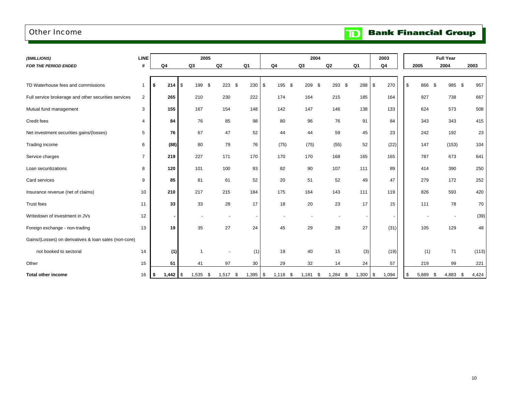### <span id="page-12-0"></span>Other Income

**TD** Bank Financial Group

| (\$MILLIONS)                                          | <b>LINE</b>    |                | 2005                     |                          |                          |                | 2004                     |                |                | 2003          |             | <b>Full Year</b>         |             |
|-------------------------------------------------------|----------------|----------------|--------------------------|--------------------------|--------------------------|----------------|--------------------------|----------------|----------------|---------------|-------------|--------------------------|-------------|
| <b>FOR THE PERIOD ENDED</b>                           | #              | Q <sub>4</sub> | Q3                       | Q2                       | Q <sub>1</sub>           | Q <sub>4</sub> | Q3                       | Q <sub>2</sub> | Q <sub>1</sub> | Q4            | 2005        | 2004                     | 2003        |
|                                                       |                |                |                          |                          |                          |                |                          |                |                |               |             |                          |             |
| TD Waterhouse fees and commissions                    | $\mathbf 1$    | \$<br>214      | 199<br>\$<br>- \$        | 223                      | - \$<br>230              | \$<br>195      | \$<br>209                | 293 \$<br>- \$ | 288            | 270<br>\$     | \$<br>866   | \$<br>985 \$             | 957         |
| Full service brokerage and other securities services  | 2              | 265            | 210                      | 230                      | 222                      | 174            | 164                      | 215            | 185            | 164           | 927         | 738                      | 667         |
| Mutual fund management                                | 3              | 155            | 167                      | 154                      | 148                      | 142            | 147                      | 146            | 138            | 133           | 624         | 573                      | 508         |
| Credit fees                                           | $\overline{4}$ | 84             | 76                       | 85                       | 98                       | 80             | 96                       | 76             | 91             | 84            | 343         | 343                      | 415         |
| Net investment securities gains/(losses)              | 5              | 76             | 67                       | 47                       | 52                       | 44             | 44                       | 59             | 45             | 23            | 242         | 192                      | 23          |
| Trading income                                        | 6              | (88)           | 80                       | 79                       | 76                       | (75)           | (75)                     | (55)           | 52             | (22)          | 147         | (153)                    | 104         |
| Service charges                                       | $\overline{7}$ | 219            | 227                      | 171                      | 170                      | 170            | 170                      | 168            | 165            | 165           | 787         | 673                      | 641         |
| Loan securitizations                                  | 8              | 120            | 101                      | 100                      | 93                       | 82             | 90                       | 107            | 111            | 89            | 414         | 390                      | 250         |
| Card services                                         | 9              | 85             | 81                       | 61                       | 52                       | 20             | 51                       | 52             | 49             | 47            | 279         | 172                      | 252         |
| Insurance revenue (net of claims)                     | 10             | 210            | 217                      | 215                      | 184                      | 175            | 164                      | 143            | 111            | 119           | 826         | 593                      | 420         |
| Trust fees                                            | 11             | 33             | 33                       | 28                       | 17                       | 18             | 20                       | 23             | 17             | 15            | 111         | 78                       | 70          |
| Writedown of investment in JVs                        | 12             |                | $\overline{\phantom{a}}$ | $\overline{\phantom{a}}$ | $\overline{\phantom{a}}$ |                | $\overline{\phantom{a}}$ |                |                |               |             | $\overline{\phantom{a}}$ | (39)        |
| Foreign exchange - non-trading                        | 13             | 19             | 35                       | 27                       | 24                       | 45             | 29                       | 28             | 27             | (31)          | 105         | 129                      | 48          |
| Gains/(Losses) on derivatives & loan sales (non-core) |                |                |                          |                          |                          |                |                          |                |                |               |             |                          |             |
| not booked to sectoral                                | 14             | (1)            | $\overline{1}$           |                          | (1)                      | 19             | 40                       | 15             | (3)            | (19)          | (1)         | 71                       | (113)       |
| Other                                                 | 15             | 51             | 41                       | 97                       | 30                       | 29             | 32                       | 14             | 24             | 57            | 219         | 99                       | 221         |
| <b>Total other income</b>                             | 16             | \$             | $1,535$ \$               | 1,517                    | 1,395<br>S               | \$<br>1,118    | \$<br>1,181              | 1,284<br>-S    | 1,300<br>-\$   | 1,094<br>l \$ | \$<br>5,889 | 4.883                    | 4,424<br>\$ |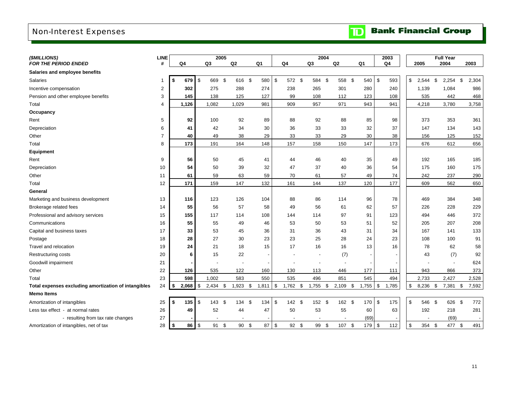## <span id="page-13-0"></span>Non-Interest Expenses

| <b>TD</b> Bank Financial Group |
|--------------------------------|
|--------------------------------|

| (\$MILLIONS)                                         | <b>LINE</b>    |             |    | 2005  |                          |                |            |                          | 2004                     |      |        |                          |               | 2003           |                |     | <b>Full Year</b> |             |  |
|------------------------------------------------------|----------------|-------------|----|-------|--------------------------|----------------|------------|--------------------------|--------------------------|------|--------|--------------------------|---------------|----------------|----------------|-----|------------------|-------------|--|
| <b>FOR THE PERIOD ENDED</b>                          | #              | Q4          | Q3 |       | Q <sub>2</sub>           | Q <sub>1</sub> |            | Q4                       | Q3                       | Q2   |        | Q1                       |               | Q <sub>4</sub> | 2005           |     | 2004             | 2003        |  |
| Salaries and employee benefits                       |                |             |    |       |                          |                |            |                          |                          |      |        |                          |               |                |                |     |                  |             |  |
| Salaries                                             |                | 679<br>-\$  | \$ | 669   | -\$<br>616 \$            |                | 580        | \$<br>572 \$             | 584 \$                   |      | 558 \$ | 540                      | \$            | 593            | \$<br>2,544    | -\$ | $2,254$ \$       | 2,304       |  |
| Incentive compensation                               | 2              | 302         |    | 275   | 288                      |                | 274        | 238                      | 265                      |      | 301    | 280                      |               | 240            | 1,139          |     | 1,084            | 986         |  |
| Pension and other employee benefits                  | 3              | 145         |    | 138   | 125                      |                | 127        | 99                       | 108                      |      | 112    | 123                      |               | 108            | 535            |     | 442              | 468         |  |
| Total                                                | 4              | 1,126       |    | 1,082 | 1,029                    |                | 981        | 909                      | 957                      |      | 971    | 943                      |               | 941            | 4,218          |     | 3,780            | 3,758       |  |
| Occupancy                                            |                |             |    |       |                          |                |            |                          |                          |      |        |                          |               |                |                |     |                  |             |  |
| Rent                                                 | 5              | 92          |    | 100   | 92                       |                | 89         | 88                       | 92                       |      | 88     | 85                       |               | 98             | 373            |     | 353              | 361         |  |
| Depreciation                                         | 6              | 41          |    | 42    | 34                       |                | 30         | 36                       | 33                       |      | 33     | 32                       |               | 37             | 147            |     | 134              | 143         |  |
| Other                                                | $\overline{7}$ | 40          |    | 49    | 38                       |                | 29         | 33                       | 33                       |      | 29     | 30                       |               | 38             | 156            |     | 125              | 152         |  |
| Total                                                | 8              | 173         |    | 191   | 164                      |                | 148        | 157                      | 158                      |      | 150    | 147                      |               | 173            | 676            |     | 612              | 656         |  |
| <b>Equipment</b>                                     |                |             |    |       |                          |                |            |                          |                          |      |        |                          |               |                |                |     |                  |             |  |
| Rent                                                 | 9              | 56          |    | 50    | 45                       |                | 41         | 44                       | 46                       |      | 40     | 35                       |               | 49             | 192            |     | 165              | 185         |  |
| Depreciation                                         | 10             | 54          |    | 50    | 39                       |                | 32         | 47                       | 37                       |      | 40     | 36                       |               | 54             | 175            |     | 160              | 175         |  |
| Other                                                | 11             | 61          |    | 59    | 63                       |                | 59         | 70                       | 61                       |      | 57     | 49                       |               | 74             | 242            |     | 237              | 290         |  |
| Total                                                | 12             | 171         |    | 159   | 147                      |                | 132        | 161                      | 144                      |      | 137    | 120                      |               | 177            | 609            |     | 562              | 650         |  |
| General                                              |                |             |    |       |                          |                |            |                          |                          |      |        |                          |               |                |                |     |                  |             |  |
| Marketing and business development                   | 13             | 116         |    | 123   | 126                      |                | 104        | 88                       | 86                       |      | 114    | 96                       |               | 78             | 469            |     | 384              | 348         |  |
| Brokerage related fees                               | 14             | 55          |    | 56    | 57                       |                | 58         | 49                       | 56                       |      | 61     | 62                       |               | 57             | 226            |     | 228              | 229         |  |
| Professional and advisory services                   | 15             | 155         |    | 117   | 114                      |                | 108        | 144                      | 114                      |      | 97     | 91                       |               | 123            | 494            |     | 446              | 372         |  |
| Communications                                       | 16             | 55          |    | 55    | 49                       |                | 46         | 53                       | 50                       |      | 53     | 51                       |               | 52             | 205            |     | 207              | 208         |  |
| Capital and business taxes                           | 17             | 33          |    | 53    | 45                       |                | 36         | 31                       | 36                       |      | 43     | 31                       |               | 34             | 167            |     | 141              | 133         |  |
| Postage                                              | 18             | 28          |    | 27    | 30                       |                | 23         | 23                       | 25                       |      | 28     | 24                       |               | 23             | 108            |     | 100              | 91          |  |
| Travel and relocation                                | 19             | 24          |    | 21    | 18                       |                | 15         | 17                       | 16                       |      | 16     | 13                       |               | 16             | 78             |     | 62               | 58          |  |
| Restructuring costs                                  | 20             | 6           |    | 15    | 22                       |                |            |                          |                          |      | (7)    | $\overline{\phantom{a}}$ |               |                | 43             |     | (7)              | 92          |  |
| Goodwill impairment                                  | 21             |             |    |       |                          |                |            |                          |                          |      |        |                          |               |                |                |     |                  | 624         |  |
| Other                                                | 22             | 126         |    | 535   | 122                      |                | 160        | 130                      | 113                      |      | 446    | 177                      |               | 111            | 943            |     | 866              | 373         |  |
| Total                                                | 23             | 598         |    | 1,002 | 583                      |                | 550        | 535                      | 496                      |      | 851    | 545                      |               | 494            | 2,733          |     | 2,427            | 2,528       |  |
| Total expenses excluding amortization of intangibles | 24             | 2,068<br>\$ | \$ | 2,434 | $1,923$ \$<br>\$         |                | 1,811      | $\sqrt{3}$<br>1,762      | \$<br>1,755              | - \$ | 2,109  | \$<br>1,755              | $\mathfrak s$ | 1,785          | \$<br>8,236    | \$  | 7,381            | \$<br>7,592 |  |
| <b>Memo Items</b>                                    |                |             |    |       |                          |                |            |                          |                          |      |        |                          |               |                |                |     |                  |             |  |
| Amortization of intangibles                          | 25             | 135<br>-\$  | \$ | 143S  | 134 \$                   |                | 134        | $\mathfrak{S}$<br>142 \$ | 152 \$                   |      | 162 \$ | 170                      | $\mathfrak s$ | 175            | \$<br>546 \$   |     | 626 \$           | 772         |  |
| Less tax effect - at normal rates                    | 26             | 49          |    | 52    | 44                       |                | 47         | 50                       | 53                       |      | 55     | 60                       |               | 63             | 192            |     | 218              | 281         |  |
| - resulting from tax rate changes                    | 27             |             |    |       | $\overline{\phantom{a}}$ |                |            | $\blacksquare$           | $\overline{\phantom{a}}$ |      |        | (69)                     |               |                | $\blacksquare$ |     | (69)             |             |  |
| Amortization of intangibles, net of tax              | 28             | 86<br>\$    | \$ | 91    | \$<br>90 \$              |                | $87 \quad$ | 92                       | \$<br>99 \$              |      | 107    | 179<br>-\$               | \$            | 112            | \$<br>354 \$   |     | 477              | 491<br>\$   |  |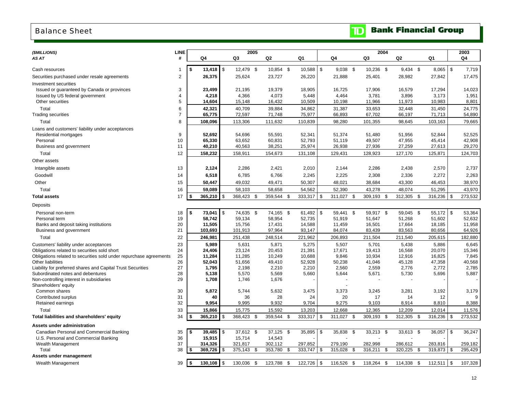### <span id="page-14-0"></span>Balance Sheet

|  |  | <b>TD</b> Bank Financial Group |  |
|--|--|--------------------------------|--|
|--|--|--------------------------------|--|

| (\$MILLIONS)                                                                                     | <b>LINE</b>    |      |                |                | 2005           |      |                |      |                |            |                |      | 2004           |     |                |      |                |               | 2003           |
|--------------------------------------------------------------------------------------------------|----------------|------|----------------|----------------|----------------|------|----------------|------|----------------|------------|----------------|------|----------------|-----|----------------|------|----------------|---------------|----------------|
| AS AT                                                                                            | #              |      | Q4             |                | Q3             |      | Q2             |      | Q1             |            | Q4             |      | Q3             |     | Q2             |      | Q1             |               | Q4             |
|                                                                                                  |                |      |                |                |                |      |                |      |                |            |                |      |                |     |                |      |                |               |                |
| Cash resources                                                                                   | -1             | Ŝ.   |                |                | 12,479 \$      |      | 10,854 \$      |      | 10,588         | $\sqrt{3}$ | $9,038$ \$     |      | 10,236 \$      |     | $9,434$ \$     |      | 8,065          | $\mathfrak s$ | 7,719          |
| Securities purchased under resale agreements                                                     | 2              |      | 26,375         |                | 25,624         |      | 23,727         |      | 26,220         |            | 21,888         |      | 25,401         |     | 28,982         |      | 27,842         |               | 17,475         |
| <b>Investment securities</b>                                                                     |                |      |                |                |                |      |                |      |                |            |                |      |                |     |                |      |                |               |                |
| Issued or guaranteed by Canada or provinces                                                      | 3              |      | 23,499         |                | 21,195         |      | 19,379         |      | 18,905         |            | 16,725         |      | 17,906         |     | 16,579         |      | 17,294         |               | 14,023         |
| Issued by US federal government                                                                  | 4              |      | 4,218          |                | 4,366          |      | 4,073          |      | 5,448          |            | 4,464          |      | 3,781          |     | 3,896          |      | 3,173          |               | 1,951          |
| Other securities                                                                                 | 5              |      | 14,604         |                | 15,148         |      | 16,432         |      | 10,509         |            | 10,198         |      | 11,966         |     | 11,973         |      | 10,983         |               | 8,801          |
| Total                                                                                            | 6              |      | 42,321         |                | 40,709         |      | 39,884         |      | 34,862         |            | 31,387         |      | 33,653         |     | 32,448         |      | 31,450         |               | 24,775         |
| <b>Trading securities</b>                                                                        | $\overline{7}$ |      | 65,775         |                | 72,597         |      | 71,748         |      | 75,977         |            | 66,893         |      | 67,702         |     | 66,197         |      | 71,713         |               | 54,890         |
| Total                                                                                            | 8              |      | 108,096        |                | 113,306        |      | 111,632        |      | 110,839        |            | 98,280         |      | 101,355        |     | 98,645         |      | 103,163        |               | 79,665         |
| Loans and customers' liability under acceptances                                                 |                |      |                |                |                |      |                |      |                |            |                |      |                |     |                |      |                |               |                |
| Residential mortgages                                                                            | 9              |      | 52,692         |                | 54,696         |      | 55,591         |      | 52,341         |            | 51,374         |      | 51,480         |     | 51,956         |      | 52,844         |               | 52,525         |
| Personal                                                                                         | 10             |      | 65,330         |                | 63,652         |      | 60,831         |      | 52,793         |            | 51,119         |      | 49,507         |     | 47,955         |      | 45,414         |               | 42,908         |
| Business and government                                                                          | 11             |      | 40,210         |                | 40,563         |      | 38,251         |      | 25,974         |            | 26,938         |      | 27,936         |     | 27,259         |      | 27,613         |               | 29,270         |
| Total                                                                                            | 12             |      | 158,232        |                | 158,911        |      | 154,673        |      | 131,108        |            | 129,431        |      | 128,923        |     | 127,170        |      | 125,871        |               | 124,703        |
| Other assets                                                                                     |                |      |                |                |                |      |                |      |                |            |                |      |                |     |                |      |                |               |                |
| Intangible assets                                                                                | 13             |      | 2,124          |                | 2,286          |      | 2,421          |      | 2,010          |            | 2,144          |      | 2,286          |     | 2,438          |      | 2,570          |               | 2,737          |
| Goodwill                                                                                         | 14             |      | 6,518          |                | 6,785          |      | 6,766          |      | 2,245          |            | 2,225          |      | 2,308          |     | 2,336          |      | 2,272          |               | 2,263          |
| Other                                                                                            | 15             |      | 50,447         |                | 49,032         |      | 49,471         |      | 50,307         |            | 48,021         |      | 38,684         |     | 43,300         |      | 46,453         |               | 38,970         |
| Total                                                                                            | 16             |      | 59,089         |                | 58,103         |      | 58,658         |      | 54,562         |            | 52,390         |      | 43,278         |     | 48,074         |      | 51,295         |               | 43,970         |
| <b>Total assets</b>                                                                              | 17             | Ŝ.   | 365,210        | $\mathfrak{L}$ | 368,423        | -\$  | 359,544        | \$   | 333,317        | \$         | 311,027        | \$   | 309,193        | \$  | 312,305        | - \$ | 316,236        | $\mathsf{\$}$ | 273,532        |
|                                                                                                  |                |      |                |                |                |      |                |      |                |            |                |      |                |     |                |      |                |               |                |
| Deposits                                                                                         |                |      |                |                |                |      |                |      |                |            |                |      |                |     |                |      |                |               |                |
| Personal non-term                                                                                | 18             | \$   | 73,041         | \$             | 74,635 \$      |      | 74,165 \$      |      | 61,492         | \$         | 59,441 \$      |      | 59,917 \$      |     | 59,045 \$      |      | $55,172$ \$    |               | 53,364         |
| Personal term                                                                                    | 19             |      | 58,742         |                | 59,134         |      | 58,954         |      | 52,735         |            | 51,919         |      | 51,647         |     | 51,268         |      | 51,602         |               | 52,632         |
| Banks and deposit taking institutions                                                            | 20             |      | 11,505         |                | 15,756         |      | 17,431         |      | 14,588         |            | 11,459         |      | 16,501         |     | 17,664         |      | 18,185         |               | 11,958         |
| Business and government                                                                          | 21             |      | 103,693        |                | 101,913        |      | 97,964         |      | 93,147         |            | 84,074         |      | 83,439         |     | 83,563         |      | 80,656         |               | 64,926         |
| Total                                                                                            | 22             |      | 246,981        |                | 251,438        |      | 248,514        |      | 221,962        |            | 206,893        |      | 211,504        |     | 211,540        |      | 205,615        |               | 182,880        |
| Customers' liability under acceptances                                                           | 23             |      | 5.989          |                | 5,631          |      | 5,871          |      | 5,275          |            | 5,507          |      | 5,701          |     | 5,438          |      | 5,886          |               | 6,645          |
| Obligations related to securities sold short                                                     | 24             |      | 24,406         |                | 23,124         |      | 20,453         |      | 21,391         |            | 17,671         |      | 19,413         |     | 16,568         |      | 20,070         |               | 15,346         |
| Obligations related to securities sold under repurchase agreements                               | 25             |      | 11,284         |                | 11,285         |      | 10,249         |      | 10,688         |            | 9,846          |      | 10,934         |     | 12,916         |      | 16,825         |               | 7,845          |
| <b>Other liabilities</b>                                                                         | 26             |      | 52,043         |                | 51,656         |      | 49,410         |      | 52,928         |            | 50,238         |      | 41,046         |     | 45,128         |      | 47,358         |               | 40,568         |
| Liability for preferred shares and Capital Trust Securities<br>Subordinated notes and debentures | 27<br>28       |      | 1,795<br>5,138 |                | 2,198<br>5,570 |      | 2,210<br>5,569 |      | 2,210<br>5,660 |            | 2,560<br>5,644 |      | 2,559<br>5,671 |     | 2,776<br>5,730 |      | 2,772<br>5,696 |               | 2,785<br>5,887 |
| Non-controlling interest in subsidiaries                                                         | 29             |      | 1,708          |                | 1,746          |      | 1,676          |      |                |            |                |      |                |     |                |      |                |               |                |
| Shareholders' equity                                                                             |                |      |                |                |                |      |                |      |                |            |                |      |                |     |                |      |                |               |                |
| Common shares                                                                                    | 30             |      | 5,872          |                | 5,744          |      | 5,632          |      | 3,475          |            | 3,373          |      | 3,245          |     | 3,281          |      | 3,192          |               | 3,179          |
| Contributed surplus                                                                              | 31             |      | 40             |                | 36             |      | 28             |      | 24             |            | 20             |      | 17             |     | 14             |      | 12             |               |                |
| Retained earnings                                                                                | 32             |      | 9,954          |                | 9,995          |      | 9,932          |      | 9,704          |            | 9,275          |      | 9,103          |     | 8,914          |      | 8,810          |               | 8,388          |
| Total                                                                                            | 33             |      | 15,866         |                | 15,775         |      | 15,592         |      | 13,203         |            | 12,668         |      | 12,365         |     | 12,209         |      | 12,014         |               | 11,576         |
| Total liabilities and shareholders' equity                                                       | 34             |      | 365,210        | \$             | 368,423        | - \$ | 359,544 \$     |      | 333,317        | \$         | 311,027        | - \$ | 309,193        | \$  | 312,305        | - \$ | 316,236        | \$            | 273,532        |
| Assets under administration                                                                      |                |      |                |                |                |      |                |      |                |            |                |      |                |     |                |      |                |               |                |
| Canadian Personal and Commercial Banking                                                         | 35             | S.   | $39,485$ \$    |                | 37,612 \$      |      | 37,125         | - \$ | 35,895         | -\$        | 35,838         | -\$  | 33,213         | -\$ | 33,613 \$      |      | 36,057         | -\$           | 36,247         |
| U.S. Personal and Commercial Banking                                                             | 36             |      | 15,915         |                | 15,714         |      | 14,543         |      |                |            |                |      |                |     |                |      |                |               |                |
| Wealth Management                                                                                | 37             |      | 314,326        |                | 321,817        |      | 302,112        |      | 297,852        |            | 279,190        |      | 282,998        |     | 286,612        |      | 283,816        |               | 259,182        |
| Total                                                                                            | 38             |      | 369,726        | \$             | 375,143        | -\$  | 353,780        | \$   | 333,747        | \$         | 315,028        | \$   | 316,211        | \$  | 320,225        | \$   | 319,873        | -\$           | 295,429        |
| Assets under management                                                                          |                |      |                |                |                |      |                |      |                |            |                |      |                |     |                |      |                |               |                |
| Wealth Management                                                                                | 39             | l \$ | 130, 108       | \$             | 130,036        | - \$ | 123,788        | \$   | 122,726        | $\sqrt{3}$ | 116,526        | \$   | 118,264        | \$  | 114,338        | -\$  | 112,511        | \$            | 107,328        |
|                                                                                                  |                |      |                |                |                |      |                |      |                |            |                |      |                |     |                |      |                |               |                |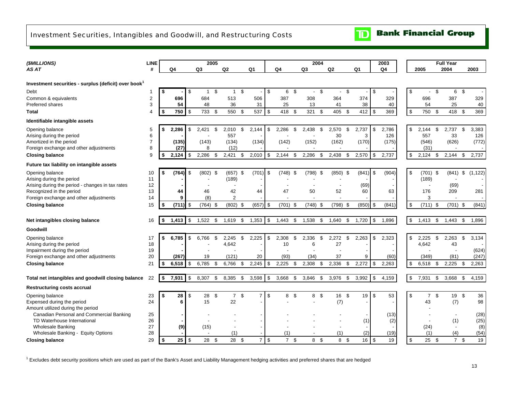## <span id="page-15-0"></span>Investment Securities, Intangibles and Goodwill, and Restructuring Costs

| (\$MILLIONS)                                                     | <b>LINE</b>         |      |           |     |                          | 2005 |                          |     |                |                |            |     |                | 2004           |            |     |                |      | 2003      |               |                |      | <b>Full Year</b>         |      |           |
|------------------------------------------------------------------|---------------------|------|-----------|-----|--------------------------|------|--------------------------|-----|----------------|----------------|------------|-----|----------------|----------------|------------|-----|----------------|------|-----------|---------------|----------------|------|--------------------------|------|-----------|
| AS AT                                                            | #                   |      | Q4        |     | Q3                       |      | Q2                       |     | Q1             |                | Q4         |     | Q3             |                | Q2         |     | Q <sub>1</sub> |      | Q4        |               | 2005           |      | 2004                     |      | 2003      |
|                                                                  |                     |      |           |     |                          |      |                          |     |                |                |            |     |                |                |            |     |                |      |           |               |                |      |                          |      |           |
| Investment securities - surplus (deficit) over book <sup>1</sup> |                     |      |           |     |                          |      |                          |     |                |                |            |     |                |                |            |     |                |      |           |               |                |      |                          |      |           |
| Debt                                                             | -1                  | -S   |           | \$  | $\mathbf{1}$             | \$   | $\mathbf{1}$             | \$  |                | \$             | 6 \$       |     | $\blacksquare$ | $\mathfrak{s}$ | $\sim$     | \$  |                | \$   |           | $\mathfrak s$ | $\blacksquare$ | \$   | 6 \$                     |      |           |
| Common & equivalents<br><b>Preferred shares</b>                  | $\overline{c}$<br>3 |      | 696<br>54 |     | 684<br>48                |      | 513<br>36                |     | 506<br>31      |                | 387<br>25  |     | 308<br>13      |                | 364<br>41  |     | 374<br>38      |      | 329<br>40 |               | 696<br>54      |      | 387<br>25                |      | 329<br>40 |
| Total                                                            | $\overline{4}$      | \$   | 750       | -\$ | 733                      | \$   | 550                      | \$  | 537            | $\mathfrak{S}$ | 418        | \$  | 321            | \$             | 405        | \$  | 412            | \$   | 369       | \$            | 750            | \$   | 418                      | \$   | 369       |
| Identifiable intangible assets                                   |                     |      |           |     |                          |      |                          |     |                |                |            |     |                |                |            |     |                |      |           |               |                |      |                          |      |           |
| Opening balance                                                  | 5                   |      | 2,286     | \$  | 2.421                    | \$   | 2,010                    | \$  | 2,144          | \$             | 2,286      | -\$ | 2,438          | \$             | 2,570      | \$  | 2,737          | -\$  | 2,786     | \$            | 2.144          | \$   | 2,737                    | \$   | 3,383     |
| Arising during the period                                        | 6                   |      |           |     |                          |      | 557                      |     |                |                |            |     |                |                | 30         |     | 3              |      | 126       |               | 557            |      | 33                       |      | 126       |
| Amortized in the period                                          | $\overline{7}$      |      | (135)     |     | (143)                    |      | (134)                    |     | (134)          |                | (142)      |     | (152)          |                | (162)      |     | (170)          |      | (175)     |               | (546)          |      | (626)                    |      | (772)     |
| Foreign exchange and other adjustments                           | 8                   |      | (27)      |     | 8                        |      | (12)                     |     |                |                |            |     |                |                |            |     |                |      |           |               | (31)           |      |                          |      |           |
| <b>Closing balance</b>                                           | 9                   | \$   | 2,124     | \$  | 2.286                    | \$   | 2,421                    | \$  | 2,010          | \$             | 2,144      | S   | 2,286          | \$             | 2,438      | -\$ | 2,570          | -\$  | 2,737     | \$            | 2.124          | \$   | 2,144                    | \$   | 2,737     |
| Future tax liability on intangible assets                        |                     |      |           |     |                          |      |                          |     |                |                |            |     |                |                |            |     |                |      |           |               |                |      |                          |      |           |
| Opening balance                                                  | 10                  |      | (764)     | -\$ | $(802)$ \$               |      | $(657)$ \$               |     | $(701)$ \$     |                | $(748)$ \$ |     | $(798)$ \$     |                | $(850)$ \$ |     | (841)          | l \$ | (904)     | \$            | $(701)$ \$     |      | (841)                    | -\$  | (1, 122)  |
| Arising during the period                                        | 11                  |      |           |     |                          |      | (189)                    |     |                |                |            |     |                |                |            |     |                |      |           |               | (189)          |      |                          |      |           |
| Arising during the period - changes in tax rates                 | 12                  |      |           |     |                          |      | $\overline{\phantom{a}}$ |     |                |                |            |     |                |                |            |     | (69)           |      |           |               |                |      | (69)                     |      |           |
| Recognized in the period                                         | 13                  |      | 44        |     | 46                       |      | 42                       |     | 44             |                | 47         |     | 50             |                | 52         |     | 60             |      | 63        |               | 176            |      | 209                      |      | 281       |
| Foreign exchange and other adjustments                           | 14                  |      | 9         |     | (8)                      |      | $\overline{2}$           |     |                |                |            |     |                |                |            |     |                |      |           |               | 3              |      |                          |      |           |
| <b>Closing balance</b>                                           | 15                  | - \$ | (711)     | -\$ | (764)                    | -\$  | (802)                    | -\$ | (657)          | \$             | $(701)$ \$ |     | (748)          | \$             | (798)      | -\$ | (850)          | -\$  | (841)     | \$            | (711)          | \$   | (701)                    | -\$  | (841)     |
| Net intangibles closing balance                                  | 16                  | \$   | 1,413     | \$  | 1,522                    | \$   | 1,619                    | \$  | 1,353          | \$             | 1,443      | \$  | 1,538          | \$             | 1,640      | \$  | 1,720          | \$   | 1,896     | \$            | 1,413          | \$   | 1,443                    | \$   | 1,896     |
| Goodwill                                                         |                     |      |           |     |                          |      |                          |     |                |                |            |     |                |                |            |     |                |      |           |               |                |      |                          |      |           |
| Opening balance                                                  | 17                  |      | 6,785     | \$  | 6,766                    | \$   | 2,245                    | \$  | 2,225          | \$             | 2,308      | \$  | 2,336          | \$             | 2,272      | \$  | 2,263          | \$   | 2,323     | \$            | 2,225          | \$   | 2,263                    | \$   | 3,134     |
| Arising during the period                                        | 18                  |      |           |     |                          |      | 4,642                    |     |                |                | 10         |     | 6              |                | 27         |     |                |      |           |               | 4,642          |      | 43                       |      |           |
| Impairment during the period                                     | 19                  |      |           |     |                          |      |                          |     |                |                |            |     |                |                |            |     |                |      |           |               |                |      |                          |      | (624)     |
| Foreign exchange and other adjustments                           | 20                  |      | (267)     |     | 19                       |      | (121)                    |     | 20             |                | (93)       |     | (34)           |                | 37         |     | 9              |      | (60)      |               | (349)          |      | (81)                     |      | (247)     |
| <b>Closing balance</b>                                           | 21                  |      | 6,518     | \$  | 6,785                    | \$   | 6,766                    | \$  | 2,245          | \$             | 2,225      | -S  | 2,308          | \$             | 2,336      | \$  | 2,272          | -\$  | 2,263     | \$            | 6,518          | \$   | 2,225                    | -\$  | 2,263     |
| Total net intangibles and goodwill closing balance               | 22                  | S    | 7,931     | \$  | 8,307                    | \$   | 8,385                    | \$  | 3,598          | \$             | 3,668      | \$  | 3,846          | \$             | 3,976      | \$  | 3,992          | \$   | 4,159     | \$            | 7,931          | \$   | 3,668                    | \$   | 4,159     |
| <b>Restructuring costs accrual</b>                               |                     |      |           |     |                          |      |                          |     |                |                |            |     |                |                |            |     |                |      |           |               |                |      |                          |      |           |
| Opening balance                                                  | 23                  |      | 28        | \$  | 28                       | - \$ | $\overline{7}$           | \$  | $\overline{7}$ | \$             | 8 \$       |     | 8 \$           |                | 16         | -\$ | 19             | \$   | 53        | \$            | $\overline{7}$ | \$   | 19                       | - \$ | 36        |
| Expensed during the period                                       | 24                  |      | 6         |     | 15                       |      | 22                       |     |                |                |            |     |                |                | (7)        |     |                |      |           |               | 43             |      | (7)                      |      | 98        |
| Amount utilized during the period                                |                     |      |           |     |                          |      |                          |     |                |                |            |     |                |                |            |     |                |      |           |               |                |      |                          |      |           |
| Canadian Personal and Commercial Banking                         | 25                  |      |           |     |                          |      |                          |     |                |                |            |     |                |                |            |     |                |      | (13)      |               |                |      |                          |      | (28)      |
| TD Waterhouse International                                      | 26                  |      |           |     | $\overline{\phantom{a}}$ |      |                          |     |                |                |            |     |                |                |            |     | (1)            |      | (2)       |               |                |      | (1)                      |      | (25)      |
| <b>Wholesale Banking</b>                                         | 27                  |      | (9)       |     | (15)                     |      |                          |     |                |                |            |     |                |                |            |     |                |      |           |               | (24)           |      | $\overline{\phantom{a}}$ |      | (8)       |
| Wholesale Banking - Equity Options                               | 28                  |      |           |     |                          |      | (1)                      |     |                |                | (1)        |     |                |                | (1)        |     | (2)            |      | (19)      |               | (1)            |      | (4)                      |      | (54)      |
| <b>Closing balance</b>                                           | 29                  | \$   | 25        | \$  | 28 \$                    |      | 28 \$                    |     | $7$   \$       |                | 7S         |     | 8 \$           |                | 8 \$       |     | 16             | \$   | 19        | \$            | 25             | - \$ | $7 \quad$                |      | 19        |

 $1$  Excludes debt security positions which are used as part of the Bank's Asset and Liability Management hedging activities and preferred shares that are hedged

**Bank Financial Group** 

 $\mathbf{D}$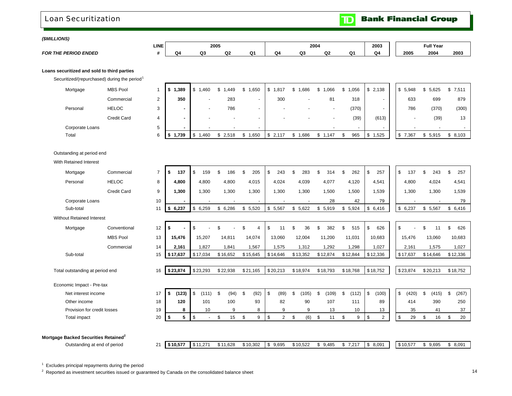### <span id="page-16-0"></span>Loan Securitization

**Bank Financial Group**  $\blacksquare$ 

#### *(\$MILLIONS)*

|                             | LINE |   |         | 2005 |    |      | 2004 |          |    | 2003 |     | <b>Full Year</b> |      |
|-----------------------------|------|---|---------|------|----|------|------|----------|----|------|-----|------------------|------|
| <b>FOR THE PERIOD ENDED</b> |      | w | ົ<br>uo | Q2   | c. | . ه. | Q3   | ~<br>$-$ | 0١ | Q4   | 200 | 2004             | 2003 |

#### **Loans securitized and sold to third parties**

Securitized/(repurchased) during the period<sup>1</sup>

| Mortgage        | <b>MBS Pool</b> |                     | 1,389<br>الا  | ,460<br>sD. | ,449<br>۰D               | ,650<br>S.               | .817         | .686 | .066                     | .056  | \$2,138 | 5,948<br>S. | 5,625<br>S   | \$7,511 |
|-----------------|-----------------|---------------------|---------------|-------------|--------------------------|--------------------------|--------------|------|--------------------------|-------|---------|-------------|--------------|---------|
|                 | Commercial      | ∼                   | 350           |             | 283                      |                          | 300          |      | 81                       | 318   |         |             | 633<br>699   | 879     |
| Personal        | <b>HELOC</b>    | C<br>J.             | -             |             | 786                      | $\overline{\phantom{0}}$ | -            |      | $\overline{\phantom{a}}$ | (370) |         |             | 786<br>(370) | (300)   |
|                 | Credit Card     | 4                   |               |             | -                        | $\sim$                   |              |      | $\overline{\phantom{a}}$ | (39)  | (613)   |             | (39)         | 13      |
| Corporate Loans |                 | $\overline{a}$<br>5 |               |             | $\overline{\phantom{a}}$ | $\overline{\phantom{a}}$ |              |      |                          |       |         |             |              |         |
| Total           |                 | 6                   | 1,739<br>ים ו | ,460        | 2.518                    | .650                     | 2,117<br>- ৯ | .686 | ,147                     | 965   | 1,525   | .367<br>ъ   | 5,915<br>ъ   | \$8,103 |

#### Outstanding at period end

With Retained Interest

| Mortgage                                         | Commercial         | $\overline{7}$ | \$<br>137   | -\$<br>159          |      | 186      | \$.      | 205                      | \$<br>243   |     | 283      |    | 314      | 262         | \$      | 257            | \$<br>137   |    | 243      | \$.     | 257      |
|--------------------------------------------------|--------------------|----------------|-------------|---------------------|------|----------|----------|--------------------------|-------------|-----|----------|----|----------|-------------|---------|----------------|-------------|----|----------|---------|----------|
| Personal                                         | <b>HELOC</b>       | 8              | 4,800       | 4,800               |      | 4,800    |          | 4,015                    | 4,024       |     | 4,039    |    | 4,077    | 4,120       |         | 4,541          | 4,800       |    | 4,024    |         | 4,541    |
|                                                  | <b>Credit Card</b> | 9              | 1,300       | 1,300               |      | 1,300    |          | 1,300                    | 1,300       |     | 1,300    |    | 1,500    | 1,500       |         | 1,539          | 1,300       |    | 1,300    |         | 1,539    |
| Corporate Loans                                  |                    | 10             |             |                     |      |          |          | $\overline{\phantom{a}}$ |             |     |          |    | 28       | 42          |         | 79             |             |    |          |         | 79       |
| Sub-total                                        |                    | 11             | 6,237<br>\$ | 6,259<br>$\sqrt{3}$ |      | \$6,286  | \$       | 5,520                    | \$<br>5,567 |     | \$5.622  | \$ | 5,919    | \$<br>5,924 |         | \$6,416        | \$6,237     | \$ | 5,567    |         | \$6,416  |
| <b>Without Retained Interest</b>                 |                    |                |             |                     |      |          |          |                          |             |     |          |    |          |             |         |                |             |    |          |         |          |
| Mortgage                                         | Conventional       | 12             | \$          | $\mathfrak{L}$      |      |          | \$       | 4                        | \$<br>11    | \$  | 36       | ደ  | 382      | 515         | \$      | 626            | \$          | \$ | 11       | \$      | 626      |
|                                                  | <b>MBS Pool</b>    | 13             | 15,476      | 15,207              |      | 14,811   |          | 14,074                   | 13,060      |     | 12,004   |    | 11,200   | 11,031      |         | 10,683         | 15,476      |    | 13,060   |         | 10,683   |
|                                                  | Commercial         | 14             | 2,161       | 1,827               |      | 1,841    |          | 1,567                    | 1,575       |     | 1,312    |    | 1,292    | 1,298       |         | 1,027          | 2,161       |    | 1,575    |         | 1,027    |
| Sub-total                                        |                    | 15             | \$17,637    | \$17,034            |      | \$16,652 | \$15,645 |                          | \$14,646    |     | \$13,352 |    | \$12,874 | \$12,844    |         | \$12,336       | \$17,637    |    | \$14,646 |         | \$12,336 |
|                                                  |                    |                |             |                     |      |          |          |                          |             |     |          |    |          |             |         |                |             |    |          |         |          |
| Total outstanding at period end                  |                    | 16             | \$23,874    | \$23,293            |      | \$22,938 | \$21.165 |                          | \$20.213    |     | \$18,974 |    | \$18,793 | \$18,768    |         | \$18,752       | \$23,874    |    | \$20,213 |         | \$18,752 |
| Economic Impact - Pre-tax                        |                    |                |             |                     |      |          |          |                          |             |     |          |    |          |             |         |                |             |    |          |         |          |
| Net interest income                              |                    | 17             | \$<br>(123) | l \$<br>(111)       | - \$ | (94)     | \$       | (92)                     | \$<br>(89)  | \$. | (105)    | \$ | (109)    | \$<br>(112) | \$      | (100)          | \$<br>(420) | £. | (415)    | \$      | (267)    |
| Other income                                     |                    | 18             | 120         | 101                 |      | 100      |          | 93                       | 82          |     | 90       |    | 107      | 111         |         | 89             | 414         |    | 390      |         | 250      |
| Provision for credit losses                      |                    | 19             | 8           | 10                  |      | 9        |          | 8                        | 9           |     | 9        |    | 13       | 10          |         | 13             | 35          |    | 41       |         | 37       |
| <b>Total impact</b>                              |                    | 20             | 5<br>-\$    | <b>S</b>            | \$   | 15       | \$       | 9                        | \$<br>2     | \$  | (6)      | \$ | 11       | \$          | \$<br>9 | $\overline{2}$ | \$<br>29    | \$ | 16       | \$      | 20       |
|                                                  |                    |                |             |                     |      |          |          |                          |             |     |          |    |          |             |         |                |             |    |          |         |          |
| Mortgage Backed Securities Retained <sup>2</sup> |                    |                |             |                     |      |          |          |                          |             |     |          |    |          |             |         |                |             |    |          |         |          |
| Outstanding at end of period                     |                    | 21             | \$10,577    | \$11,271            |      | \$11,628 | \$10,302 |                          | \$9,695     |     | \$10,522 |    | \$9,485  | \$7,217     |         | \$8,091        | \$10,577    | \$ | 9,695    | \$8,091 |          |

 $1$  Excludes principal repayments during the period

 $2\,$  Reported as investment securities issued or guaranteed by Canada on the consolidated balance sheet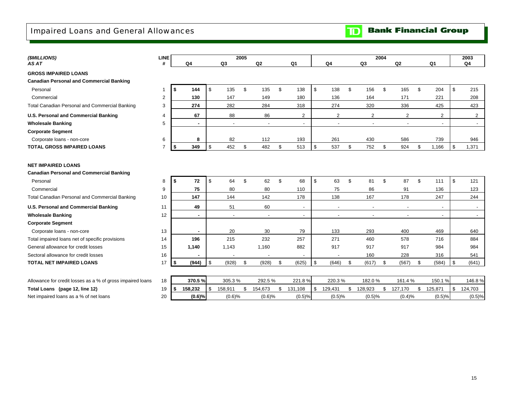## <span id="page-17-0"></span>Impaired Loans and General Allowances



| (\$MILLIONS)                                                                 | <b>LINE</b>    |                |                          | 2005 |                          |                |               |     |                          | 2004 |                          |                          | 2003                     |
|------------------------------------------------------------------------------|----------------|----------------|--------------------------|------|--------------------------|----------------|---------------|-----|--------------------------|------|--------------------------|--------------------------|--------------------------|
| AS AT                                                                        | #              | Q4             | Q3                       |      | Q2                       | Q <sub>1</sub> | Q4            |     | Q3                       |      | Q2                       | Q <sub>1</sub>           | Q4                       |
| <b>GROSS IMPAIRED LOANS</b>                                                  |                |                |                          |      |                          |                |               |     |                          |      |                          |                          |                          |
| <b>Canadian Personal and Commercial Banking</b>                              |                |                |                          |      |                          |                |               |     |                          |      |                          |                          |                          |
| Personal                                                                     | $\mathbf{1}$   | \$<br>144      | \$<br>135                | \$   | 135                      | \$<br>138      | \$<br>138     | \$  | 156                      | \$   | 165                      | \$<br>204                | \$<br>215                |
| Commercial                                                                   | $\overline{2}$ | 130            | 147                      |      | 149                      | 180            | 136           |     | 164                      |      | 171                      | 221                      | 208                      |
| Total Canadian Personal and Commercial Banking                               | 3              | 274            | 282                      |      | 284                      | 318            | 274           |     | 320                      |      | 336                      | 425                      | 423                      |
| U.S. Personal and Commercial Banking                                         | 4              | 67             | 88                       |      | 86                       | $\overline{2}$ | 2             |     | 2                        |      | 2                        | 2                        | $\overline{2}$           |
| <b>Wholesale Banking</b>                                                     | 5              | ٠              | $\overline{\phantom{a}}$ |      | $\overline{\phantom{a}}$ | $\sim$         | $\sim$        |     | $\overline{\phantom{a}}$ |      | $\sim$                   | $\overline{\phantom{a}}$ | $\overline{\phantom{a}}$ |
| <b>Corporate Segment</b>                                                     |                |                |                          |      |                          |                |               |     |                          |      |                          |                          |                          |
| Corporate loans - non-core                                                   | 6              | 8              | 82                       |      | 112                      | 193            | 261           |     | 430                      |      | 586                      | 739                      | 946                      |
| <b>TOTAL GROSS IMPAIRED LOANS</b>                                            | $\overline{7}$ | \$<br>349      | \$<br>452                | \$   | 482                      | \$<br>513      | \$<br>537     | \$  | 752                      | \$   | 924                      | \$<br>1,166              | \$<br>1,371              |
| <b>NET IMPAIRED LOANS</b><br><b>Canadian Personal and Commercial Banking</b> |                |                |                          |      |                          |                |               |     |                          |      |                          |                          |                          |
| Personal                                                                     | 8              | \$<br>72       | \$<br>64                 | \$   | 62                       | \$<br>68       | \$<br>63      | \$  | 81                       | \$   | 87                       | \$<br>111                | \$<br>121                |
| Commercial                                                                   | 9              | 75             | 80                       |      | 80                       | 110            | 75            |     | 86                       |      | 91                       | 136                      | 123                      |
| Total Canadian Personal and Commercial Banking                               | 10             | 147            | 144                      |      | 142                      | 178            | 138           |     | 167                      |      | 178                      | 247                      | 244                      |
| <b>U.S. Personal and Commercial Banking</b>                                  | 11             | 49             | 51                       |      | 60                       | $\blacksquare$ |               |     | $\overline{\phantom{a}}$ |      | $\overline{\phantom{a}}$ |                          | $\overline{\phantom{a}}$ |
| <b>Wholesale Banking</b>                                                     | 12             | $\blacksquare$ |                          |      | $\blacksquare$           | $\blacksquare$ |               |     | $\overline{a}$           |      | $\blacksquare$           | $\overline{\phantom{a}}$ |                          |
| <b>Corporate Segment</b>                                                     |                |                |                          |      |                          |                |               |     |                          |      |                          |                          |                          |
| Corporate loans - non-core                                                   | 13             | $\blacksquare$ | 20                       |      | 30                       | 79             | 133           |     | 293                      |      | 400                      | 469                      | 640                      |
| Total impaired loans net of specific provisions                              | 14             | 196            | 215                      |      | 232                      | 257            | 271           |     | 460                      |      | 578                      | 716                      | 884                      |
| General allowance for credit losses                                          | 15             | 1,140          | 1,143                    |      | 1,160                    | 882            | 917           |     | 917                      |      | 917                      | 984                      | 984                      |
| Sectoral allowance for credit losses                                         | 16             |                |                          |      |                          |                |               |     | 160                      |      | 228                      | 316                      | 541                      |
| <b>TOTAL NET IMPAIRED LOANS</b>                                              | 17             | \$<br>(944)    | \$<br>(928)              | \$   | (928)                    | \$<br>(625)    | \$<br>(646)   | \$  | (617)                    | \$   | (567)                    | \$<br>(584)              | \$<br>(641)              |
|                                                                              |                |                |                          |      |                          |                |               |     |                          |      |                          |                          |                          |
| Allowance for credit losses as a % of gross impaired loans                   | 18             | 370.5%         | 305.3%                   |      | 292.5%                   | 221.8%         | 220.3%        |     | 182.0%                   |      | 161.4%                   | 150.1%                   | 146.8%                   |
| Total Loans (page 12, line 12)                                               | 19             | 158,232<br>\$  | \$<br>158,911            | \$   | 154,673                  | \$<br>131,108  | \$<br>129,431 | \$. | 128,923                  | \$   | 127,170                  | \$<br>125,871            | \$<br>124,703            |
| Net impaired loans as a % of net loans                                       | 20             | (0.6)%         | (0.6)%                   |      | (0.6)%                   | (0.5)%         | (0.5)%        |     | (0.5)%                   |      | (0.4)%                   | (0.5)%                   | (0.5)%                   |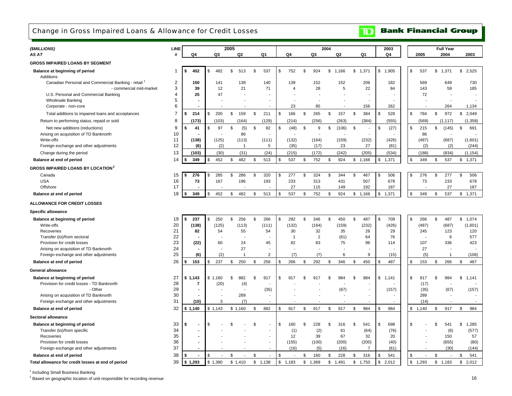## <span id="page-18-0"></span>Change in Gross Impaired Loans & Allowance for Credit Losses

#### **Bank Financial Group**  $\blacksquare$

| (\$MILLIONS)                                                             | <b>LINE</b>    |                    |                   | 2005                     |                                            |               |                |                  | 2004              |             |                          | 2003               |              | <b>Full Year</b> |                    |
|--------------------------------------------------------------------------|----------------|--------------------|-------------------|--------------------------|--------------------------------------------|---------------|----------------|------------------|-------------------|-------------|--------------------------|--------------------|--------------|------------------|--------------------|
| AS AT                                                                    | #              | Q4                 | Q3                | Q <sub>2</sub>           | Q1                                         |               | Q4             | Q3               | Q2                | Q1          |                          | Q4                 | 2005         | 2004             | 2003               |
| <b>GROSS IMPAIRED LOANS BY SEGMENT</b>                                   |                |                    |                   |                          |                                            |               |                |                  |                   |             |                          |                    |              |                  |                    |
| Balance at beginning of period                                           | -1             | \$<br>452          | 482<br>\$         | \$<br>513                | \$<br>537                                  | $\sqrt[6]{3}$ | 752            | \$<br>924        | \$<br>1.166       | \$<br>1.371 |                          | \$1.905            | \$<br>537    | \$1,371          | \$<br>2,525        |
| Additions                                                                |                |                    |                   |                          |                                            |               |                |                  |                   |             |                          |                    |              |                  |                    |
| Canadian Personal and Commercial Banking - retail                        | 2              | 150                | 141               | 138                      | 140                                        |               | 139            | 152              | 152               |             | 206                      | 182                | 569          | 649              | 730                |
| - commercial mid-market                                                  | 3              | 39                 | 12                | 21                       | 71                                         |               | 4              | 28               | 5                 |             | 22                       | 84                 | 143          | 59               | 185                |
| U.S. Personal and Commercial Banking                                     | 4              | 25                 | 47                |                          |                                            |               |                |                  |                   |             |                          |                    | 72           |                  |                    |
| <b>Wholesale Banking</b><br>Corporate - non-core                         | 5<br>6         |                    |                   |                          | $\overline{\phantom{a}}$<br>$\blacksquare$ |               | 23             | 85               |                   |             | 156                      | 262                |              | 264              | 1,134              |
| Total additions to impaired loans and acceptances                        | $\overline{7}$ | \$<br>214          | 200<br>\$.        | \$<br>159                | \$<br>211                                  | \$            | 166            | \$<br>265        | \$<br>157         | \$          | 384                      | £.<br>528          | \$<br>784    | \$<br>972        | \$<br>2,049        |
| Return to performing status, repaid or sold                              | 8              | (173)              | (103)             | (164)                    | (129)                                      |               | (214)          | (256)            | (263)             |             | (384)                    | (555)              | (569)        | (1, 117)         | (1, 358)           |
|                                                                          | 9              | \$                 | \$                |                          | \$                                         | \$            |                |                  |                   |             |                          | \$                 | \$           |                  |                    |
| Net new additions (reductions)<br>Arising on acquisition of TD Banknorth | 10             | 41                 | 97                | \$<br>(5)<br>86          | 82                                         |               | (48)           | \$<br>9          | \$<br>(106)       | \$          | $\overline{\phantom{a}}$ | (27)               | 215<br>86    | \$<br>(145)      | \$<br>691          |
| Write-offs                                                               | 11             | (138)              | (125)             | (113)                    | (111)                                      |               | (132)          | (164)            | (159)             |             | (232)                    | (426)              | (487)        | (687)            | (1,601)            |
| Foreign exchange and other adjustments                                   | 12             | (6)                | (2)               | $\mathbf{1}$             | 5                                          |               | (35)           | (17)             | 23                |             | 27                       | (81)               | (2)          | (2)              | (244)              |
| Change during the period                                                 | 13             | (103)              | (30)              | (31)                     | (24)                                       |               | (215)          | (172)            | (242)             |             | (205)                    | (534)              | (188)        | (834)            | (1, 154)           |
| Balance at end of period                                                 | 14             | \$<br>349          | 452               | \$<br>482                | \$<br>513                                  | \$            | 537            | \$<br>752        | \$<br>924         | \$<br>1,166 |                          | \$<br>1,371        | \$<br>349    | \$<br>537        | \$1,371            |
| <b>GROSS IMPAIRED LOANS BY LOCATION</b> <sup>2</sup>                     |                |                    |                   |                          |                                            |               |                |                  |                   |             |                          |                    |              |                  |                    |
| Canada                                                                   | 15             | 276<br>\$          | 285               | \$<br>286                | \$<br>320                                  | \$            | 277            | \$<br>324        | \$<br>344         | \$          | 467                      | \$<br>506          | \$<br>276    | 277<br>\$        | \$<br>506          |
| <b>USA</b>                                                               | 16             | 73                 | 167               | 196                      | 193                                        |               | 233            | 313              | 431               |             | 507                      | 678                | 73           | 233              | 678                |
| Offshore                                                                 | 17             |                    |                   |                          |                                            |               | 27             | 115              | 149               |             | 192                      | 187                |              | 27               | 187                |
| Balance at end of period                                                 | 18             | \$<br>349          | 452               | \$<br>482                | \$<br>513                                  | \$            | 537            | \$<br>752        | \$<br>924         | \$<br>1,166 |                          | \$<br>1,371        | \$<br>349    | \$<br>537        | \$<br>1,371        |
| <b>ALLOWANCE FOR CREDIT LOSSES</b>                                       |                |                    |                   |                          |                                            |               |                |                  |                   |             |                          |                    |              |                  |                    |
| <b>Specific allowance</b>                                                |                |                    |                   |                          |                                            |               |                |                  |                   |             |                          |                    |              |                  |                    |
|                                                                          |                |                    |                   | \$<br>256                | \$                                         | \$            | 292            | \$<br>346        | \$<br>450         | \$          | 487                      |                    | \$           | $\mathbb S$      | \$1,074            |
| Balance at beginning of period<br>Write-offs                             | 19<br>20       | 237<br>\$<br>(138) | 250<br>S<br>(125) | (113)                    | 266<br>(111)                               |               | (132)          | (164)            | (159)             |             | (232)                    | 709<br>\$<br>(426) | 266<br>(487) | 487<br>(687)     | (1,601)            |
| Recoveries                                                               | 21             | 82                 | 54                | 55                       | 54                                         |               | 30             | 32               | 35                |             | 26                       | 29                 | 245          | 123              | 120                |
| Transfer (to)/from sectoral                                              | 22             |                    |                   | ÷                        | ÷                                          |               | $\overline{1}$ | $\overline{2}$   | (61)              |             | 64                       | 76                 |              | 6                | 577                |
| Provision for credit losses                                              | 23             | (22)               | 60                | 24                       | 45                                         |               | 82             | 83               | 75                |             | 96                       | 114                | 107          | 336              | 423                |
| Arising on acquisition of TD Banknorth                                   | 24             |                    |                   | 27                       | $\blacksquare$                             |               |                |                  |                   |             |                          |                    | 27           |                  |                    |
| Foreign exchange and other adjustments                                   | 25             | (6)                | (2)               | $\mathbf{1}$             | $\overline{2}$                             |               | (7)            | (7)              | 6                 |             | 9                        | (15)               | (5)          | $\overline{1}$   | (106)              |
| Balance at end of period                                                 | 26             | \$<br>153          | 237<br>\$         | \$<br>250                | \$<br>256                                  | \$            | 266            | \$<br>292        | 346<br>\$         | S.          | 450                      | 487<br>\$          | \$<br>153    | \$<br>266        | \$<br>487          |
| <b>General allowance</b>                                                 |                |                    |                   |                          |                                            |               |                |                  |                   |             |                          |                    |              |                  |                    |
| Balance at beginning of period                                           | 27             | \$1,143            | \$1,160           | \$<br>882                | \$<br>917                                  | \$            | 917            | \$<br>917        | \$<br>984         | \$          | 984                      | \$1,141            | \$<br>917    | \$<br>984        | \$<br>1,141        |
| Provision for credit losses - TD Banknorth                               | 28             | 7                  | (20)              | (4)                      |                                            |               |                |                  |                   |             |                          |                    | (17)         |                  |                    |
| - Other                                                                  | 29             |                    |                   | $\overline{\phantom{a}}$ | (35)                                       |               |                |                  | (67)              |             |                          | (157)              | (35)         | (67)             | (157)              |
| Arising on acquisition of TD Banknorth                                   | 30             |                    |                   | 289                      | $\overline{\phantom{a}}$                   |               |                |                  |                   |             |                          |                    | 289          |                  |                    |
| Foreign exchange and other adjustments                                   | 31             | (10)               | 3                 | (7)                      | $\blacksquare$                             |               |                |                  |                   |             | $\blacksquare$           | $\blacksquare$     | (14)         | $\sim$           | $\sim$             |
| Balance at end of period                                                 | 32             | \$1,140            | \$1,143           | \$1,160                  | \$<br>882                                  | \$            | 917            | \$<br>917        | \$<br>917         | \$          | 984                      | \$<br>984          | \$1,140      | \$<br>917        | \$<br>984          |
| Sectoral allowance                                                       |                |                    |                   |                          |                                            |               |                |                  |                   |             |                          |                    |              |                  |                    |
| Balance at beginning of period                                           | 33             | \$                 | \$.               | \$                       | \$.                                        | \$            | 160            | \$<br>228        | \$<br>316         | \$          | 541                      | \$<br>698          | \$           | \$<br>541        | \$<br>1,285        |
| Transfer (to)/from specific<br>Recoveries                                |                |                    |                   |                          |                                            |               |                | (2)              | 61                |             | (64)                     | (76)               |              | (6)              | (577)              |
|                                                                          | 34             |                    |                   |                          |                                            |               | (1)            |                  |                   |             |                          |                    |              |                  |                    |
|                                                                          | 35             |                    |                   |                          | $\blacksquare$                             |               | 12             | 39               | 67                |             | 32                       | 20                 |              | 150              | 57                 |
| Provision for credit losses                                              | 36             |                    |                   |                          | $\blacksquare$<br>$\overline{\phantom{a}}$ |               | (155)          | (100)            | (200)             |             | (200)                    | (40)               |              | (655)            | (80)               |
| Foreign exchange and other adjustments<br>Balance at end of period       | 37<br>38       | \$                 |                   | \$                       | \$<br>$\overline{a}$                       | \$            | (16)           | \$<br>(5)<br>160 | (16)<br>\$<br>228 | \$          | $\overline{7}$<br>316    | (61)<br>541<br>\$  | \$           | (30)<br>\$       | (144)<br>541<br>\$ |

<sup>1</sup> Including Small Business Banking

<sup>2</sup> Based on geographic location of unit responsible for recording revenue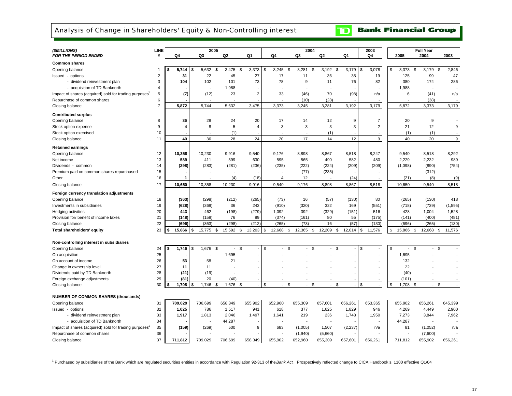## <span id="page-19-0"></span>Analysis of Change in Shareholders' Equity & Non-Controlling interest

**Bank Financial Group**  $\mathbf{D}$ 

| ( <i>SMILLIONS</i> )                                               | <b>LINE</b>    |               | 2005                     |                      |                   |                          |                            | 2004         |                    | 2003           |                                 | <b>Full Year</b> |              |
|--------------------------------------------------------------------|----------------|---------------|--------------------------|----------------------|-------------------|--------------------------|----------------------------|--------------|--------------------|----------------|---------------------------------|------------------|--------------|
| <b>FOR THE PERIOD ENDED</b>                                        | #              | Q4            | Q3                       | Q2                   | Q1                | Q4                       | Q3                         | Q2           | Q1                 | Q4             | 2005                            | 2004             | 2003         |
| <b>Common shares</b>                                               |                |               |                          |                      |                   |                          |                            |              |                    |                |                                 |                  |              |
| Opening balance                                                    | 1              | 5,744<br>\$   | 5,632<br>\$              | 3.475<br>\$          | 3,373<br><b>S</b> | \$<br>3,245              | \$<br>3,281                | 3,192<br>\$  | 3,179<br>\$        | \$<br>3,078    | \$<br>3,373                     | 3,179<br>\$      | 2,846<br>\$  |
| Issued - options                                                   | $\overline{2}$ | 31            | 22                       | 45                   | 27                | 17                       | 11                         | 36           | 35                 | 19             | 125                             | 99               | 47           |
| - dividend reinvestment plan                                       | 3              | 104           | 102                      | 101                  | 73                | 78                       | 9                          | 11           | 76                 | 82             | 380                             | 174              | 286          |
| - acquisition of TD Banknorth                                      | $\overline{4}$ |               |                          | 1,988                |                   | $\overline{\phantom{a}}$ | ÷,                         |              |                    |                | 1,988                           |                  |              |
| Impact of shares (acquired) sold for trading purposes <sup>1</sup> | 5              | (7)           | (12)                     | 23                   | 2                 | 33                       | (46)                       | 70           | (98)               | n/a            | 6                               | (41)             | n/a          |
| Repurchase of common shares                                        | 6              |               | $\overline{\phantom{a}}$ |                      |                   | $\overline{\phantom{a}}$ | (10)                       | (28)         |                    |                | $\overline{\phantom{a}}$        | (38)             |              |
| Closing balance                                                    | $\overline{7}$ | 5,872         | 5,744                    | 5,632                | 3,475             | 3,373                    | 3,245                      | 3,281        | 3,192              | 3,179          | 5,872                           | 3,373            | 3,179        |
| <b>Contributed surplus</b>                                         |                |               |                          |                      |                   |                          |                            |              |                    |                |                                 |                  |              |
| Opening balance                                                    | 8              | 36            | 28                       | 24                   | 20                | 17                       | 14                         | 12           | 9                  | 7              | 20                              | 9                |              |
| Stock option expense                                               | 9              | 4             | 8                        | 5                    | 4                 | 3                        | 3                          | 3            | 3                  | $\overline{2}$ | 21                              | 12               | 9            |
| Stock option exercised                                             | 10             |               |                          | (1)                  |                   |                          |                            | (1)          |                    |                | (1)                             | (1)              |              |
| Closing balance                                                    | 11             | 40            | 36                       | 28                   | 24                | 20                       | 17                         | 14           | 12                 | 9              | 40                              | 20               | 9            |
| <b>Retained earnings</b>                                           |                |               |                          |                      |                   |                          |                            |              |                    |                |                                 |                  |              |
| Opening balance                                                    | 12             | 10,358        | 10,230                   | 9,916                | 9,540             | 9,176                    | 8,898                      | 8,867        | 8,518              | 8,247          | 9,540                           | 8,518            | 8,292        |
| Net income                                                         | 13             | 589           | 411                      | 599                  | 630               | 595                      | 565                        | 490          | 582                | 480            | 2,229                           | 2,232            | 989          |
| Dividends - common                                                 | 14             | (298)         | (283)                    | (281)                | (236)             | (235)                    | (222)                      | (224)        | (209)              | (209)          | (1,098)                         | (890)            | (754)        |
| Premium paid on common shares repurchased                          | 15             |               |                          |                      |                   |                          | (77)                       | (235)        |                    |                | $\overline{\phantom{a}}$        | (312)            |              |
| Other                                                              | 16             |               |                          | (4)                  | (18)              | $\overline{4}$           | 12                         |              | (24)               |                | (21)                            | (8)              | (9)          |
| Closing balance                                                    | 17             | 10,650        | 10,358                   | 10,230               | 9,916             | 9,540                    | 9,176                      | 8,898        | 8,867              | 8,518          | 10,650                          | 9,540            | 8,518        |
| Foreign currency translation adjustments                           |                |               |                          |                      |                   |                          |                            |              |                    |                |                                 |                  |              |
| Opening balance                                                    | 18             | (363)         | (298)                    | (212)                | (265)             | (73)                     | 16                         | (57)         | (130)              | 80             | (265)                           | (130)            | 418          |
| Investments in subsidiaries                                        | 19             | (628)         | (369)                    | 36                   | 243               | (910)                    | (320)                      | 322          | 169                | (551)          | (718)                           | (739)            | (1, 595)     |
| Hedging activities                                                 | 20             | 443           | 462                      | (198)                | (279)             | 1,092                    | 392                        | (329)        | (151)              | 516            | 428                             | 1,004            | 1,528        |
| Provision for/ benefit of income taxes                             | 21             | (148)         | (158)                    | 76                   | 89                | (374)                    | (161)                      | 80           | 55                 | (175)          | (141)                           | (400)            | (481)        |
| Closing balance                                                    | 22             | (696)         | (363)                    | (298)                | (212)             | (265)                    | (73)                       | 16           | (57)               | (130)          | (696)                           | (265)            | (130)        |
| Total shareholders' equity                                         | 23             | 15,866        | \$<br>15,775             | \$<br>15,592         | 13,203<br>\$      | \$<br>12,668             | \$<br>12,365               | \$<br>12,209 | \$<br>12,014       | 11,576<br>\$   | \$<br>15,866                    | \$<br>12,668     | \$<br>11,576 |
|                                                                    |                |               |                          |                      |                   |                          |                            |              |                    |                |                                 |                  |              |
| Non-controlling interest in subsidiaries                           |                |               |                          |                      |                   |                          |                            |              |                    |                |                                 | \$               |              |
| Opening balance                                                    | 24<br>25       | 1,746<br>\$   | 1,676<br>\$              | \$<br>$\blacksquare$ | $\mathbb S$       | \$                       | \$                         | \$           | $\mathbb S$        | \$             | $\mathfrak s$<br>$\blacksquare$ |                  | \$           |
| On acquisition                                                     | 26             |               |                          | 1,695                |                   |                          |                            |              |                    |                | 1,695                           |                  |              |
| On account of income                                               |                | 53            | 58                       | 21                   |                   |                          |                            |              |                    |                | 132                             |                  |              |
| Change in ownership level                                          | 27             | 11            | 11                       |                      |                   |                          |                            |              |                    |                | 22                              |                  |              |
| Dividends paid by TD Banknorth                                     | 28             | (21)          | (19)                     |                      |                   |                          |                            |              |                    |                | (40)                            |                  |              |
| Foreign exchange adjustments                                       | 29<br>30       | (81)<br>1,708 | 20<br>1,746<br>\$        | (40)<br>1,676<br>\$  | \$                | \$<br>$\blacksquare$     | <b>S</b><br>$\blacksquare$ | \$           | $\mathbf{\hat{s}}$ | \$             | (101)<br>\$<br>1,708            | \$               | \$           |
| Closing balance                                                    |                |               |                          |                      |                   |                          |                            |              |                    |                |                                 |                  |              |
| <b>NUMBER OF COMMON SHARES (thousands)</b>                         |                |               |                          |                      |                   |                          |                            |              |                    |                |                                 |                  |              |
| Opening balance                                                    | 31             | 709,029       | 706,699                  | 658,349              | 655,902           | 652,960                  | 655,309                    | 657,601      | 656,261            | 653,365        | 655,902                         | 656,261          | 645,399      |
| Issued - options                                                   | 32             | 1,025         | 786                      | 1,517                | 941               | 618                      | 377                        | 1,625        | 1,829              | 946            | 4,269                           | 4,449            | 2,900        |
| - dividend reinvestment plan                                       | 33             | 1,917         | 1,813                    | 2,046                | 1,497             | 1,641                    | 219                        | 236          | 1,748              | 1,950          | 7,273                           | 3,844            | 7,962        |
| - acquisition of TD Banknorth                                      | 34             |               |                          | 44,287               |                   |                          | $\overline{\phantom{a}}$   |              |                    |                | 44,287                          |                  |              |
| Impact of shares (acquired) sold for trading purposes              | 35             | (159)         | (269)                    | 500                  | 9                 | 683                      | (1,005)                    | 1,507        | (2, 237)           | n/a            | 81                              | (1,052)          | n/a          |
| Repurchase of common shares                                        | 36             |               |                          |                      |                   |                          | (1,940)                    | (5,660)      |                    |                |                                 | (7,600)          |              |
| Closing balance                                                    | 37             |               | 709,029                  |                      |                   |                          |                            |              |                    |                |                                 |                  |              |

1 Purchased by subsidiaries of the Bank which are regulated securities entities in accordance with Regulation 92-313 of the *Bank Act* . Prospectively reflected change to CICA Handbook s. 1100 effective Q1/04